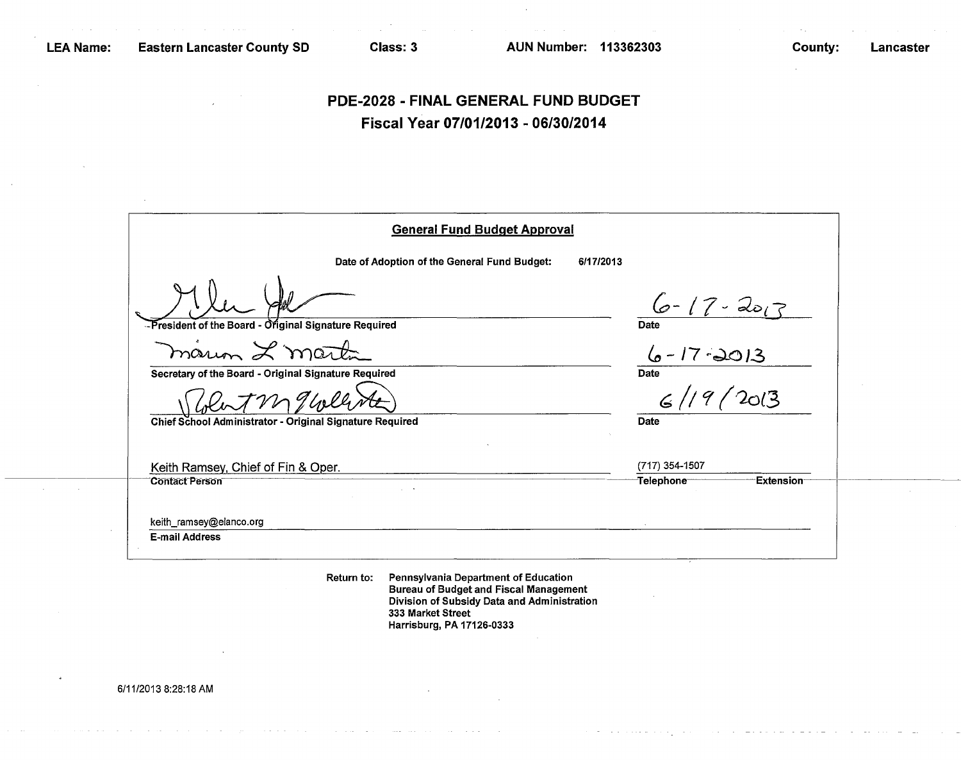# **PDE-2028 - FINAL GENERAL FUND BUDGET Fiscal Year 07/01/2013- 06/30/2014**

| <b>General Fund Budget Approval</b>                       |                                |  |  |  |  |  |
|-----------------------------------------------------------|--------------------------------|--|--|--|--|--|
| Date of Adoption of the General Fund Budget:<br>6/17/2013 |                                |  |  |  |  |  |
| -President of the Board - Ofiginal Signature Required     | $6 - 17 - 2017$<br><b>Date</b> |  |  |  |  |  |
| marion L martin                                           | $6 - 17 - 2013$                |  |  |  |  |  |
| Secretary of the Board - Original Signature Required      | Date                           |  |  |  |  |  |
|                                                           | 6/19                           |  |  |  |  |  |
| Chief School Administrator - Original Signature Required  | Date                           |  |  |  |  |  |
| Keith Ramsey, Chief of Fin & Oper.                        | (717) 354-1507                 |  |  |  |  |  |
| <b>Contact Person</b>                                     | Extension<br>Telephone⊤        |  |  |  |  |  |
|                                                           |                                |  |  |  |  |  |
| keith_ramsey@elanco.org                                   |                                |  |  |  |  |  |
| <b>E-mail Address</b>                                     |                                |  |  |  |  |  |
|                                                           |                                |  |  |  |  |  |

Return to: Pennsylvania Department of Education Bureau of Budget and Fiscal Management Division of Subsidy Data and Administration 333 Market Street Harrisburg, PA 17126-0333

#### 6/11/2013 8:28:18 AM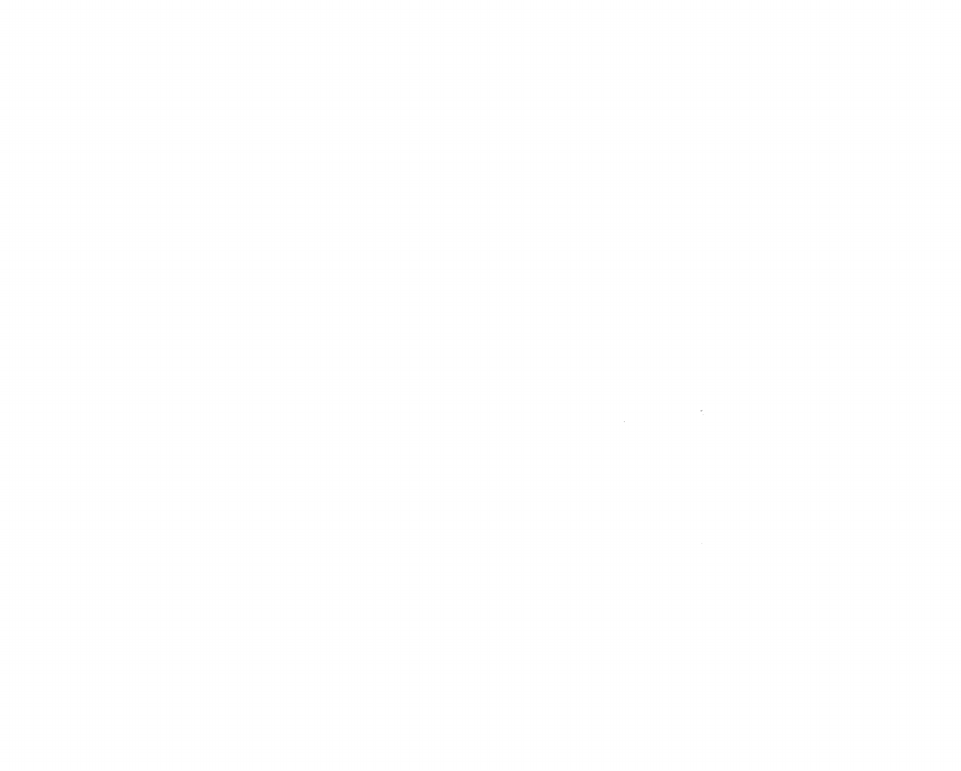$\label{eq:2.1} \frac{1}{\sqrt{2\pi}}\int_{\mathbb{R}^3}\frac{1}{\sqrt{2\pi}}\int_{\mathbb{R}^3}\frac{1}{\sqrt{2\pi}}\int_{\mathbb{R}^3}\frac{1}{\sqrt{2\pi}}\int_{\mathbb{R}^3}\frac{1}{\sqrt{2\pi}}\int_{\mathbb{R}^3}\frac{1}{\sqrt{2\pi}}\int_{\mathbb{R}^3}\frac{1}{\sqrt{2\pi}}\int_{\mathbb{R}^3}\frac{1}{\sqrt{2\pi}}\int_{\mathbb{R}^3}\frac{1}{\sqrt{2\pi}}\int_{\mathbb{R}^3}\frac{1$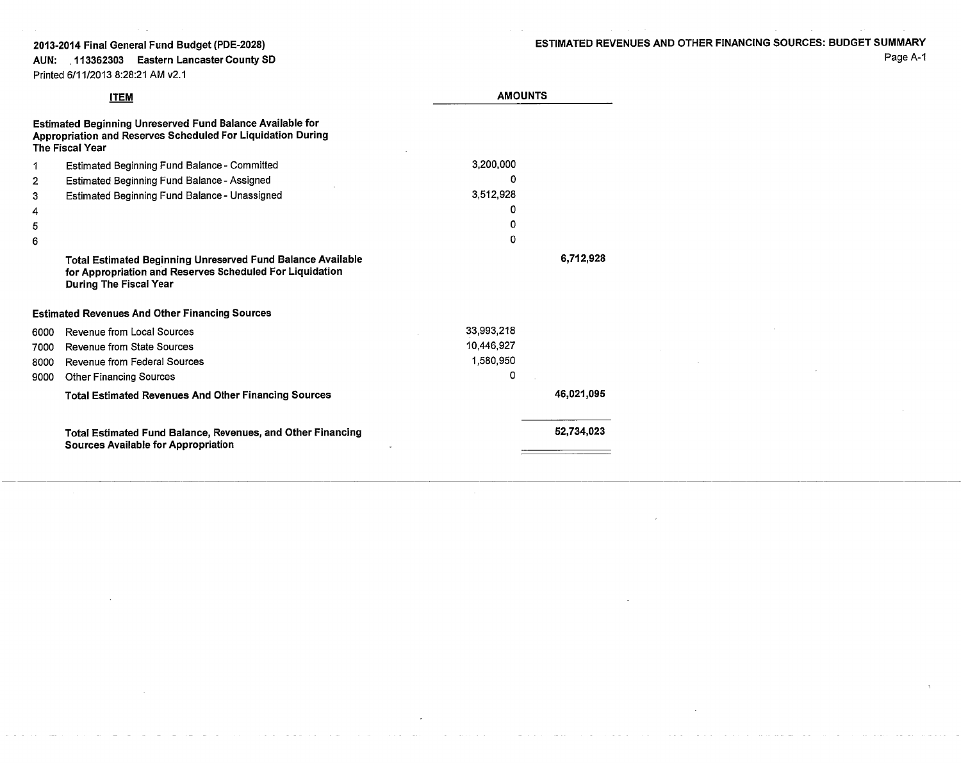#### 2013-2014 Final General Fund Budget (PDE-2028) AUN: , 113362303 Eastern Lancaster County SD Printed 6/11/2013 8:28:21 AM v2.1

|                        | <b>ITEM</b>                                                                                                                                              | <b>AMOUNTS</b> |            |
|------------------------|----------------------------------------------------------------------------------------------------------------------------------------------------------|----------------|------------|
| <b>The Fiscal Year</b> | Estimated Beginning Unreserved Fund Balance Available for<br>Appropriation and Reserves Scheduled For Liquidation During                                 |                |            |
|                        | Estimated Beginning Fund Balance - Committed                                                                                                             | 3,200,000      |            |
| 2                      | Estimated Beginning Fund Balance - Assigned                                                                                                              | 0              |            |
| 3                      | Estimated Beginning Fund Balance - Unassigned                                                                                                            | 3,512,928      |            |
| 4                      |                                                                                                                                                          | 0              |            |
| 5                      |                                                                                                                                                          | 0              |            |
| 6                      |                                                                                                                                                          | 0              |            |
|                        | <b>Total Estimated Beginning Unreserved Fund Balance Available</b><br>for Appropriation and Reserves Scheduled For Liquidation<br>During The Fiscal Year |                | 6,712,928  |
|                        | <b>Estimated Revenues And Other Financing Sources</b>                                                                                                    |                |            |
| 6000                   | Revenue from Local Sources                                                                                                                               | 33,993,218     |            |
| 7000                   | Revenue from State Sources                                                                                                                               | 10,446,927     |            |
| 8000                   | Revenue from Federal Sources                                                                                                                             | 1,580,950      |            |
| 9000                   | <b>Other Financing Sources</b>                                                                                                                           | 0              |            |
|                        | <b>Total Estimated Revenues And Other Financing Sources</b>                                                                                              |                | 46,021,095 |
|                        | Total Estimated Fund Balance, Revenues, and Other Financing<br><b>Sources Available for Appropriation</b>                                                |                | 52,734,023 |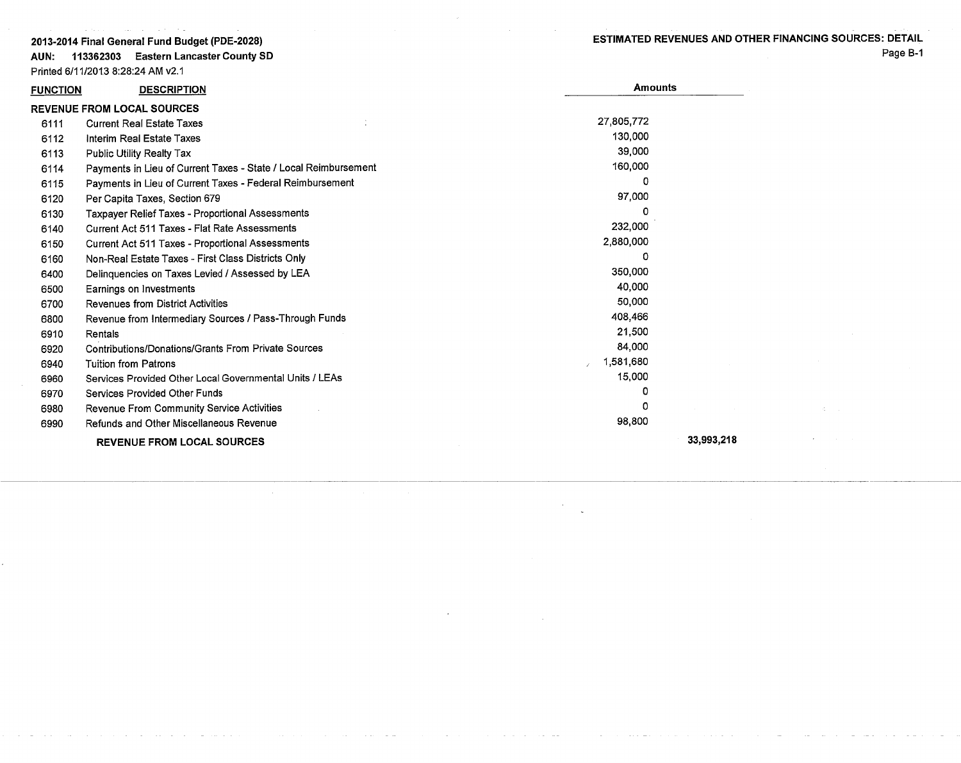$\sim 10^{-1}$ 

**AUN: 113362303 Eastern Lancaster County SD**  Printed 6/11/201.3 8:28:24 AM v2.1

|                 | $\sim$ integral theories of each $\sim$ . The set of $\sim$     |                |            |  |
|-----------------|-----------------------------------------------------------------|----------------|------------|--|
| <b>FUNCTION</b> | <b>DESCRIPTION</b>                                              | <b>Amounts</b> |            |  |
|                 | <b>REVENUE FROM LOCAL SOURCES</b>                               |                |            |  |
| 6111            | <b>Current Real Estate Taxes</b>                                | 27,805,772     |            |  |
| 6112            | Interim Real Estate Taxes                                       | 130,000        |            |  |
| 6113            | Public Utility Realty Tax                                       | 39,000         |            |  |
| 6114            | Payments in Lieu of Current Taxes - State / Local Reimbursement | 160,000        |            |  |
| 6115            | Payments in Lieu of Current Taxes - Federal Reimbursement       | 0              |            |  |
| 6120            | Per Capita Taxes, Section 679                                   | 97,000         |            |  |
| 6130            | Taxpayer Relief Taxes - Proportional Assessments                | 0              |            |  |
| 6140            | Current Act 511 Taxes - Flat Rate Assessments                   | 232,000        |            |  |
| 6150            | Current Act 511 Taxes - Proportional Assessments                | 2,880,000      |            |  |
| 6160            | Non-Real Estate Taxes - First Class Districts Only              | 0              |            |  |
| 6400            | Delinguencies on Taxes Levied / Assessed by LEA                 | 350,000        |            |  |
| 6500            | Earnings on Investments                                         | 40,000         |            |  |
| 6700            | <b>Revenues from District Activities</b>                        | 50,000         |            |  |
| 6800            | Revenue from Intermediary Sources / Pass-Through Funds          | 408,466        |            |  |
| 6910            | Rentals                                                         | 21,500         |            |  |
| 6920            | Contributions/Donations/Grants From Private Sources             | 84,000         |            |  |
| 6940            | <b>Tuition from Patrons</b>                                     | 1,581,680      |            |  |
| 6960            | Services Provided Other Local Governmental Units / LEAs         | 15,000         |            |  |
| 6970            | <b>Services Provided Other Funds</b>                            | ٥              |            |  |
| 6980            | Revenue From Community Service Activities                       | ۵              |            |  |
| 6990            | Refunds and Other Miscellaneous Revenue                         | 98,800         |            |  |
|                 | <b>REVENUE FROM LOCAL SOURCES</b>                               |                | 33,993,218 |  |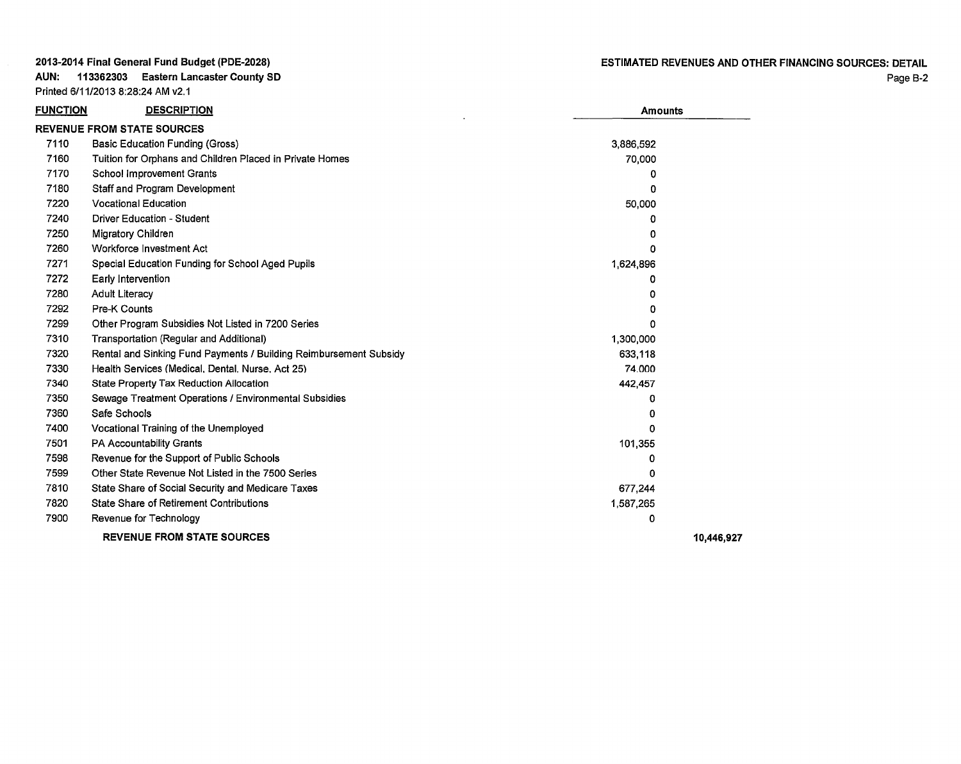**AUN: 113362303 Eastern Lancaster County SD**  Printed 611112013 8:28:24 AM v2.1

| <b>FUNCTION</b> | <b>DESCRIPTION</b>                                                | <b>Amounts</b> |            |
|-----------------|-------------------------------------------------------------------|----------------|------------|
|                 | <b>REVENUE FROM STATE SOURCES</b>                                 |                |            |
| 7110            | <b>Basic Education Funding (Gross)</b>                            | 3,886,592      |            |
| 7160            | Tuition for Orphans and Children Placed in Private Homes          | 70,000         |            |
| 7170            | <b>School Improvement Grants</b>                                  | Ω              |            |
| 7180            | Staff and Program Development                                     | n              |            |
| 7220            | <b>Vocational Education</b>                                       | 50,000         |            |
| 7240            | Driver Education - Student                                        | 0              |            |
| 7250            | Migratory Children                                                | Ω              |            |
| 7260            | Workforce Investment Act                                          | ٥              |            |
| 7271            | Special Education Funding for School Aged Pupils                  | 1,624,896      |            |
| 7272            | Early Intervention                                                | 0              |            |
| 7280            | <b>Adult Literacy</b>                                             | o              |            |
| 7292            | Pre-K Counts                                                      | 0              |            |
| 7299            | Other Program Subsidies Not Listed in 7200 Series                 | o              |            |
| 7310            | Transportation (Regular and Additional)                           | 1,300,000      |            |
| 7320            | Rental and Sinking Fund Payments / Building Reimbursement Subsidy | 633,118        |            |
| 7330            | Health Services (Medical, Dental, Nurse, Act 25)                  | 74.000         |            |
| 7340            | <b>State Property Tax Reduction Allocation</b>                    | 442,457        |            |
| 7350            | Sewage Treatment Operations / Environmental Subsidies             | 0              |            |
| 7360            | Safe Schools                                                      | 0              |            |
| 7400            | Vocational Training of the Unemployed                             | O.             |            |
| 7501            | PA Accountability Grants                                          | 101.355        |            |
| 7598            | Revenue for the Support of Public Schools                         | 0              |            |
| 7599            | Other State Revenue Not Listed in the 7500 Series                 | 0              |            |
| 7810            | State Share of Social Security and Medicare Taxes                 | 677,244        |            |
| 7820            | <b>State Share of Retirement Contributions</b>                    | 1,587,265      |            |
| 7900            | Revenue for Technology                                            | 0              |            |
|                 | <b>REVENUE FROM STATE SOURCES</b>                                 |                | 10.446.927 |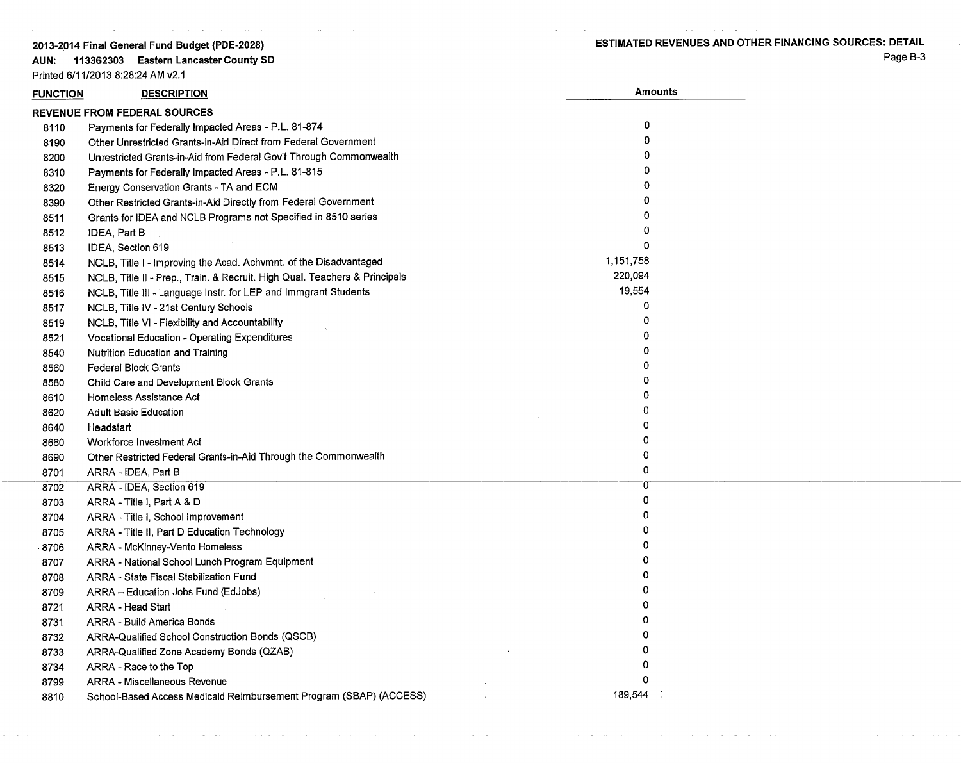**ESTIMATED REVENUES AND OTHER FINANCING SOURCES: DETAIL**  Page B-3

#### **2013-2014 Final General Fund Budget (PDE-2028)**

 $\sim 100$  km s  $^{-1}$ 

÷

#### **AUN: 113362303 Eastern Lancaster County SD**  Printed 6/11/2013 8:28:24 AM v2.1

| <b>FUNCTION</b> | <b>DESCRIPTION</b>                                                         | <b>Amounts</b> |  |
|-----------------|----------------------------------------------------------------------------|----------------|--|
|                 | <b>REVENUE FROM FEDERAL SOURCES</b>                                        |                |  |
| 8110            | Payments for Federally Impacted Areas - P.L. 81-874                        | 0              |  |
| 8190            | Other Unrestricted Grants-in-Aid Direct from Federal Government            | 0              |  |
| 8200            | Unrestricted Grants-in-Aid from Federal Gov't Through Commonwealth         | 0              |  |
| 8310            | Payments for Federally Impacted Areas - P.L. 81-815                        | 0              |  |
| 8320            | Energy Conservation Grants - TA and ECM                                    | 0              |  |
| 8390            | Other Restricted Grants-in-Aid Directly from Federal Government            | 0              |  |
| 8511            | Grants for IDEA and NCLB Programs not Specified in 8510 series             | $\Omega$       |  |
| 8512            | IDEA, Part B                                                               | 0              |  |
| 8513            | IDEA, Section 619                                                          | 0              |  |
| 8514            | NCLB, Title I - Improving the Acad. Achvmnt. of the Disadvantaged          | 1,151,758      |  |
| 8515            | NCLB, Title II - Prep., Train. & Recruit. High Qual. Teachers & Principals | 220,094        |  |
| 8516            | NCLB, Title III - Language Instr. for LEP and Immgrant Students            | 19,554         |  |
| 8517            | NCLB, Title IV - 21st Century Schools                                      | 0              |  |
| 8519            | NCLB, Title VI - Flexibility and Accountability                            | 0              |  |
| 8521            | <b>Vocational Education - Operating Expenditures</b>                       | 0              |  |
| 8540            | <b>Nutrition Education and Training</b>                                    | 0              |  |
| 8560            | <b>Federal Block Grants</b>                                                | 0              |  |
| 8580            | Child Care and Development Block Grants                                    | 0              |  |
| 8610            | Homeless Assistance Act                                                    | 0              |  |
| 8620            | <b>Adult Basic Education</b>                                               | 0              |  |
| 8640            | Headstart                                                                  | 0              |  |
| 8660            | Workforce Investment Act                                                   | 0              |  |
| 8690            | Other Restricted Federal Grants-in-Aid Through the Commonwealth            | 0              |  |
| 8701            | ARRA - IDEA, Part B                                                        | 0              |  |
| 8702            | ARRA - IDEA, Section 619                                                   | σ              |  |
| 8703            | ARRA - Title I, Part A & D                                                 | 0              |  |
| 8704            | ARRA - Title I, School Improvement                                         | 0              |  |
| 8705            | ARRA - Title II, Part D Education Technology                               | 0              |  |
| 8706            | ARRA - McKinney-Vento Homeless                                             | 0              |  |
| 8707            | ARRA - National School Lunch Program Equipment                             | 0              |  |
| 8708            | ARRA - State Fiscal Stabilization Fund                                     | 0              |  |
| 8709            | ARRA - Education Jobs Fund (EdJobs)                                        | 0              |  |
| 8721            | ARRA - Head Start                                                          | 0              |  |
| 8731            | ARRA - Build America Bonds                                                 | 0              |  |
| 8732            | ARRA-Qualified School Construction Bonds (QSCB)                            | 0              |  |
| 8733            | ARRA-Qualified Zone Academy Bonds (QZAB)                                   | 0              |  |
| 8734            | ARRA - Race to the Top                                                     | 0              |  |
| 8799            | ARRA - Miscellaneous Revenue                                               | 0              |  |
| 8810            | School-Based Access Medicaid Reimbursement Program (SBAP) (ACCESS)         | 189,544        |  |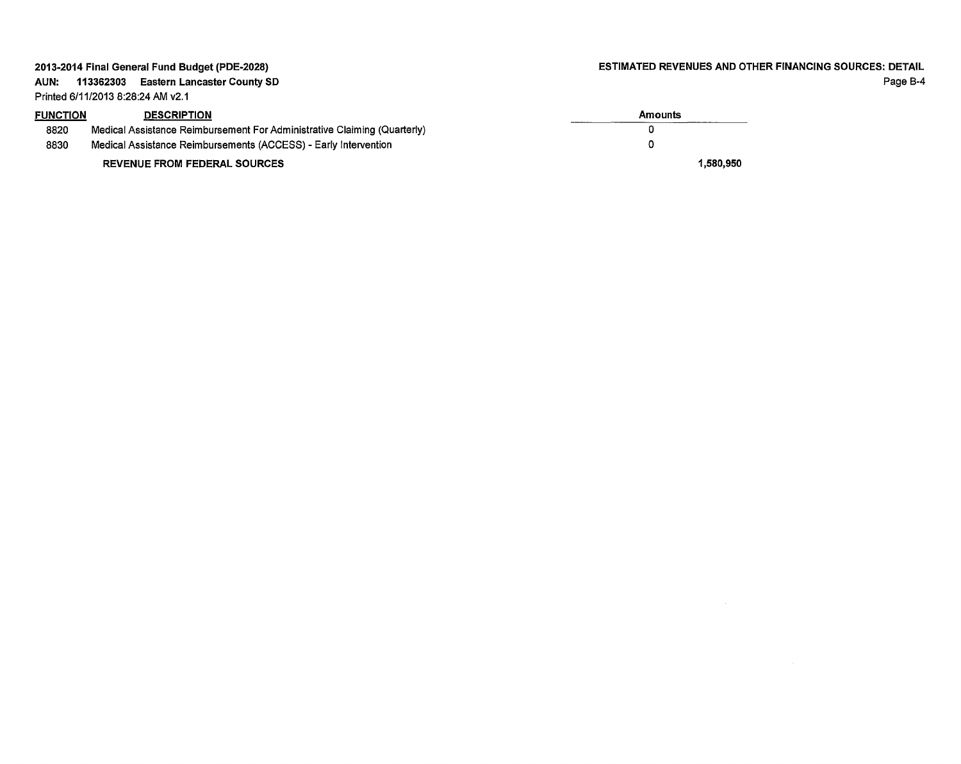AUN: 113362303 Eastern Lancaster County SD Printed 6/11/2013 8:28:24 AM v2.1

| <b>FUNCTION</b> | <b>DESCRIPTION</b>                                                       | Amounts   |
|-----------------|--------------------------------------------------------------------------|-----------|
| 8820            | Medical Assistance Reimbursement For Administrative Claiming (Quarterly) |           |
| 8830            | Medical Assistance Reimbursements (ACCESS) - Early Intervention          |           |
|                 | <b>REVENUE FROM FEDERAL SOURCES</b>                                      | 1,580,950 |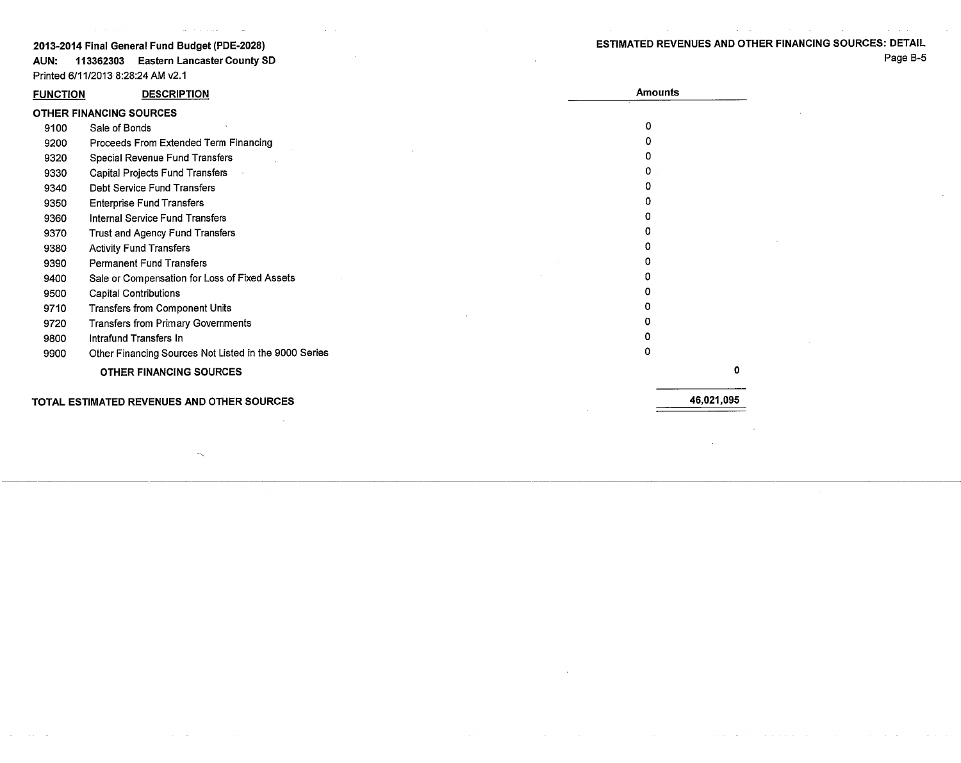#### ESTIMATED REVENUES AND OTHER FINANCING SOURCES: DETAIL Page B-5

 $\sim$ 

#### 2013-2014 Final General Fund Budget (PDE-2028)

AUN: 113362303 Eastern Lancaster County SD Printed 6/11/2013 8:28:24 AM v2.1

 $\overline{\phantom{a}}$ 

| <b>FUNCTION</b> | <b>DESCRIPTION</b>                                    | <b>Amounts</b> |
|-----------------|-------------------------------------------------------|----------------|
|                 | OTHER FINANCING SOURCES                               |                |
| 9100            | Sale of Bonds                                         | 0              |
| 9200            | Proceeds From Extended Term Financing                 | <sup>0</sup>   |
| 9320            | Special Revenue Fund Transfers                        |                |
| 9330            | Capital Projects Fund Transfers                       | 0              |
| 9340            | Debt Service Fund Transfers                           | n              |
| 9350            | <b>Enterprise Fund Transfers</b>                      |                |
| 9360            | Internal Service Fund Transfers                       |                |
| 9370            | Trust and Agency Fund Transfers                       |                |
| 9380            | <b>Activity Fund Transfers</b>                        |                |
| 9390            | <b>Permanent Fund Transfers</b>                       |                |
| 9400            | Sale or Compensation for Loss of Fixed Assets         |                |
| 9500            | <b>Capital Contributions</b>                          |                |
| 9710            | <b>Transfers from Component Units</b>                 |                |
| 9720            | Transfers from Primary Governments                    |                |
| 9800            | Intrafund Transfers In                                |                |
| 9900            | Other Financing Sources Not Listed in the 9000 Series | Ω              |
|                 | OTHER FINANCING SOURCES                               |                |
|                 | TOTAL ESTIMATED REVENUES AND OTHER SOURCES            | 46,021,095     |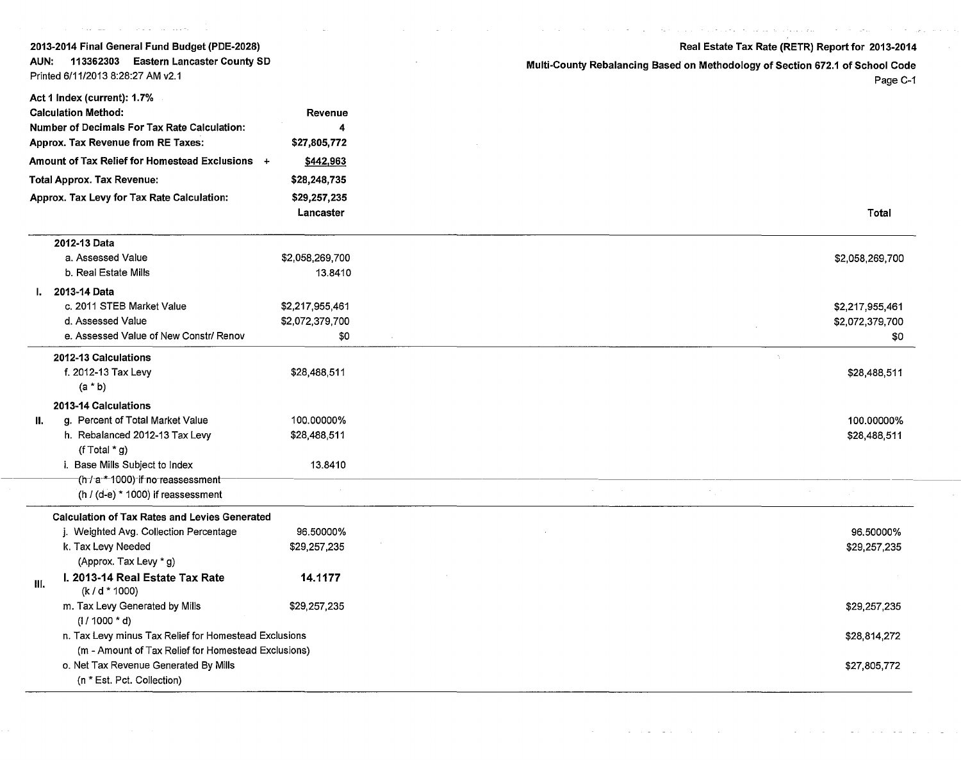| AUN: | 2013-2014 Final General Fund Budget (PDE-2028)<br>113362303 Eastern Lancaster County SD<br>Printed 6/11/2013 8:28:27 AM v2.1                                                                                                     |                                           | Real Estate Tax Rate (RETR) Report for 2013-2014<br>Multi-County Rebalancing Based on Methodology of Section 672.1 of School Code<br>Page C-1 |
|------|----------------------------------------------------------------------------------------------------------------------------------------------------------------------------------------------------------------------------------|-------------------------------------------|-----------------------------------------------------------------------------------------------------------------------------------------------|
|      | Act 1 Index (current): 1.7%<br><b>Calculation Method:</b><br><b>Number of Decimals For Tax Rate Calculation:</b><br>Approx. Tax Revenue from RE Taxes:                                                                           | Revenue<br>4<br>\$27,805,772              |                                                                                                                                               |
|      | Amount of Tax Relief for Homestead Exclusions +                                                                                                                                                                                  | \$442,963                                 |                                                                                                                                               |
|      | <b>Total Approx. Tax Revenue:</b><br>Approx. Tax Levy for Tax Rate Calculation:                                                                                                                                                  | \$28,248,735<br>\$29,257,235<br>Lancaster | Total                                                                                                                                         |
|      | 2012-13 Data<br>a. Assessed Value<br>b. Real Estate Mills                                                                                                                                                                        | \$2,058,269,700<br>13.8410                | \$2,058,269,700                                                                                                                               |
| Ъ.   | 2013-14 Data<br>c. 2011 STEB Market Value<br>d. Assessed Value<br>e. Assessed Value of New Constr/ Renov                                                                                                                         | \$2,217,955,461<br>\$2,072,379,700<br>\$0 | \$2,217,955,461<br>\$2,072,379,700<br>\$0                                                                                                     |
|      | 2012-13 Calculations<br>f. 2012-13 Tax Levy<br>$(a * b)$                                                                                                                                                                         | \$28,488,511                              | \$28,488,511                                                                                                                                  |
| H.   | 2013-14 Calculations<br>g. Percent of Total Market Value<br>h. Rebalanced 2012-13 Tax Levy<br>(f Total $*$ g)<br>i. Base Mills Subject to Index<br>-(h-/-a-*-1000)-if-no-reassessment-<br>(h $/$ (d-e) $*$ 1000) if reassessment | 100.00000%<br>\$28,488,511<br>13.8410     | 100.00000%<br>\$28,488,511                                                                                                                    |
|      | <b>Calculation of Tax Rates and Levies Generated</b><br>j. Weighted Avg. Collection Percentage<br>k. Tax Levy Needed<br>(Approx. Tax Levy * g)<br>I. 2013-14 Real Estate Tax Rate                                                | 96.50000%<br>\$29,257,235<br>14.1177      | 96.50000%<br>\$29,257,235                                                                                                                     |
| III. | (k / d * 1000)<br>m. Tax Levy Generated by Mills<br>$(1/1000 * d)$                                                                                                                                                               | \$29,257,235                              | \$29,257,235                                                                                                                                  |
|      | n. Tax Levy minus Tax Relief for Homestead Exclusions<br>(m - Amount of Tax Relief for Homestead Exclusions)<br>o. Net Tax Revenue Generated By Mills<br>(n * Est. Pct. Collection)                                              |                                           | \$28,814,272<br>\$27,805,772                                                                                                                  |

a poli

والمجاور ساسم ووابط الكوار والمراجل والمراجل المراجل والمواجد وكالمراجل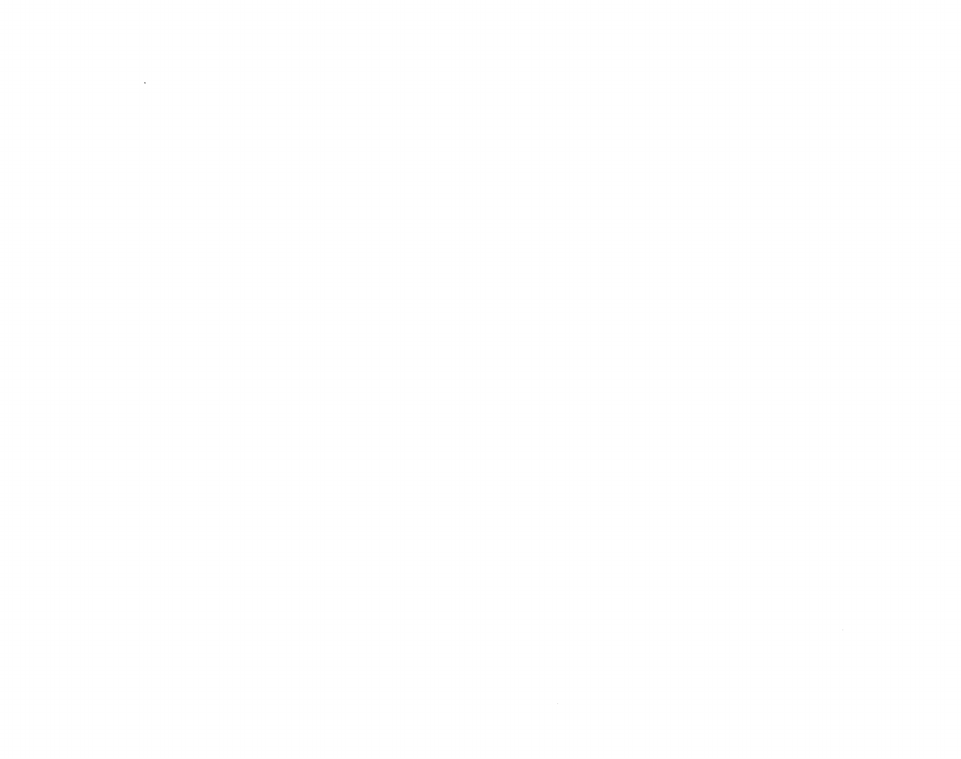$\label{eq:2.1} \mathcal{L}(\mathcal{L}^{\mathcal{L}}_{\mathcal{L}}(\mathcal{L}^{\mathcal{L}}_{\mathcal{L}})) \leq \mathcal{L}(\mathcal{L}^{\mathcal{L}}_{\mathcal{L}}(\mathcal{L}^{\mathcal{L}}_{\mathcal{L}})) \leq \mathcal{L}(\mathcal{L}^{\mathcal{L}}_{\mathcal{L}}(\mathcal{L}^{\mathcal{L}}_{\mathcal{L}}))$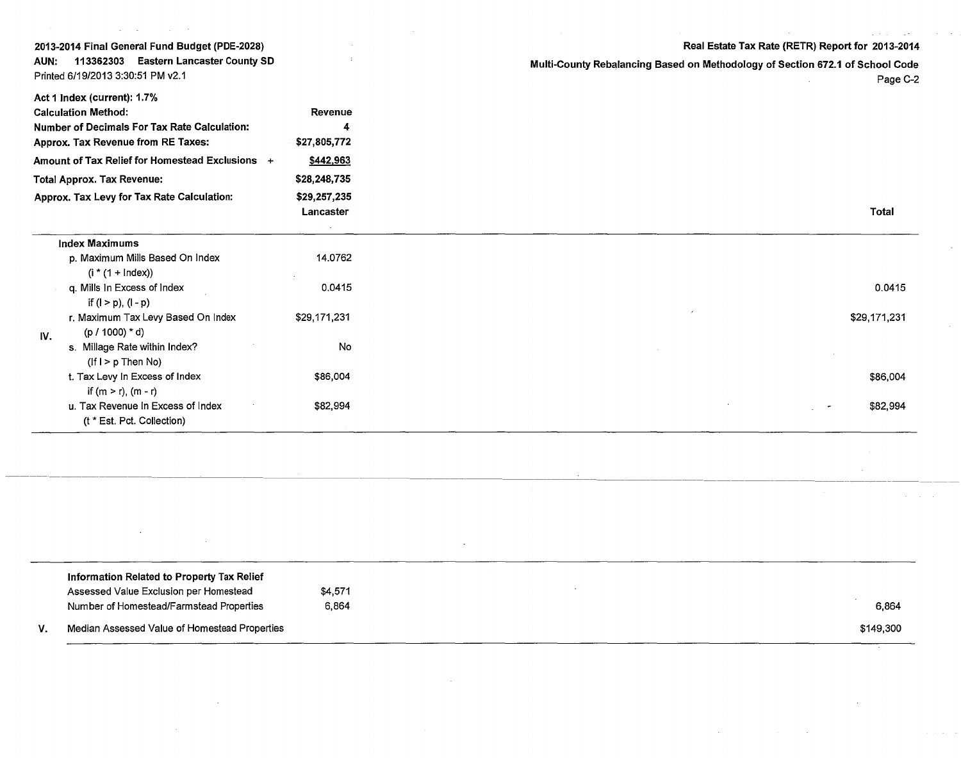#### Real Estate Tax Rate (RETR) Report for 2013-2014

2013-2014 Final General Fund Budget (PDE-2028) AUN: 113362303 Eastern Lancaster County SD Printed 6/19/2013 3:30:51 PM v2.1

**Contractor** 

 $\Delta\sim 100$ 

Multi-County Rebalancing Based on Methodology of Section 672.1 of School Code Page C-2

| Act 1 Index (current): 1.7%                   |              |
|-----------------------------------------------|--------------|
| <b>Calculation Method:</b>                    | Revenue      |
| Number of Decimals For Tax Rate Calculation:  | 4            |
| Approx. Tax Revenue from RE Taxes:            | \$27,805,772 |
| Amount of Tax Relief for Homestead Exclusions | \$442,963    |
| <b>Total Approx. Tax Revenue:</b>             | \$28,248,735 |
| Approx. Tax Levy for Tax Rate Calculation:    | \$29,257,235 |
|                                               | Lancaster    |
|                                               |              |

|     | <b>Index Maximums</b>              |              |              |
|-----|------------------------------------|--------------|--------------|
|     | p. Maximum Mills Based On Index    | 14.0762      |              |
|     | $(i * (1 + \text{Index}))$         |              |              |
|     | g. Mills In Excess of Index        | 0.0415       | 0.0415       |
|     | if $(l > p)$ , $(l - p)$           |              |              |
|     | r. Maximum Tax Levy Based On Index | \$29,171,231 | \$29,171,231 |
| IV. | $(p / 1000) * d$                   |              |              |
|     | s. Millage Rate within Index?      | No           |              |
|     | $($ If I > p Then No)              |              |              |
|     | t. Tax Levy In Excess of Index     | \$86,004     | \$86,004     |
|     | if $(m > r)$ , $(m - r)$           |              |              |
|     | u. Tax Revenue In Excess of Index  | \$82,994     | \$82,994<br> |
|     | (t * Est. Pct. Collection)         |              |              |
|     |                                    |              |              |

| Information Related to Property Tax Relief    |         |  |           |
|-----------------------------------------------|---------|--|-----------|
| Assessed Value Exclusion per Homestead        | \$4,571 |  |           |
| Number of Homestead/Farmstead Properties      | 6.864   |  | 6,864     |
| Median Assessed Value of Homestead Properties |         |  | \$149,300 |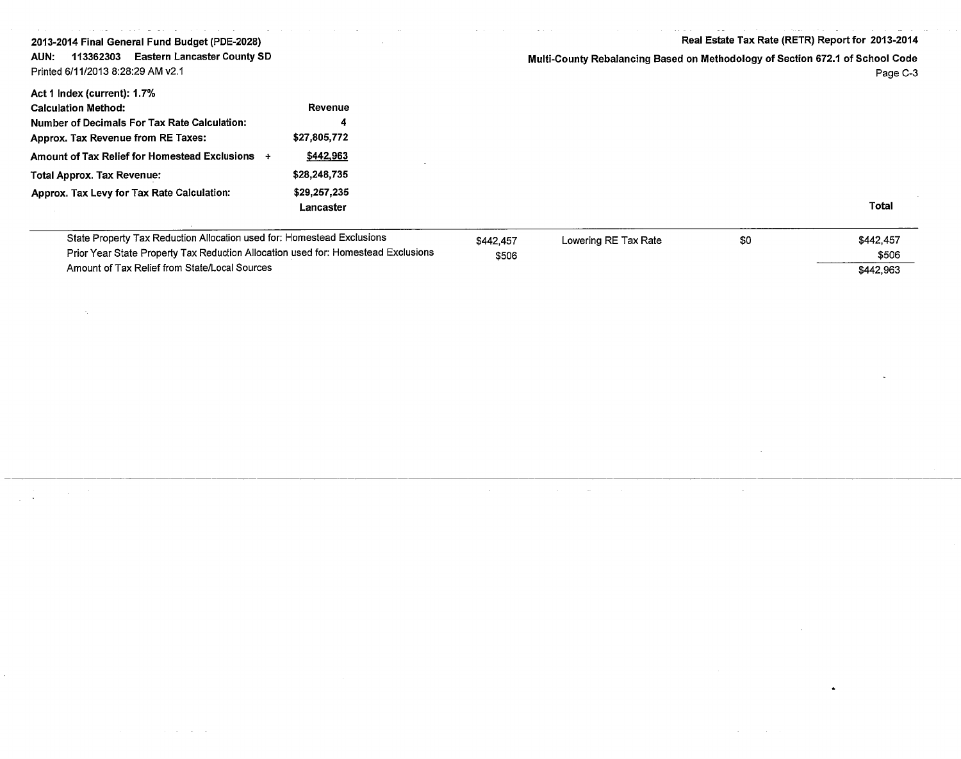| the contract of the contract of the contract of the contract of the contract of the contract of the contract of<br>2013-2014 Final General Fund Budget (PDE-2028) |              | the product of the control of the control of the control of the control of the control of the control of the control of the control of the control of the control of the control of the control of the control of the control<br>Real Estate Tax Rate (RETR) Report for 2013-2014 |                      |     |           |
|-------------------------------------------------------------------------------------------------------------------------------------------------------------------|--------------|-----------------------------------------------------------------------------------------------------------------------------------------------------------------------------------------------------------------------------------------------------------------------------------|----------------------|-----|-----------|
| <b>Eastern Lancaster County SD</b><br>113362303<br>AUN:<br>Printed 6/11/2013 8:28:29 AM v2.1                                                                      |              | Multi-County Rebalancing Based on Methodology of Section 672.1 of School Code                                                                                                                                                                                                     | Page C-3             |     |           |
| Act 1 Index (current): 1.7%                                                                                                                                       |              |                                                                                                                                                                                                                                                                                   |                      |     |           |
| <b>Calculation Method:</b>                                                                                                                                        | Revenue      |                                                                                                                                                                                                                                                                                   |                      |     |           |
| <b>Number of Decimals For Tax Rate Calculation:</b>                                                                                                               | 4            |                                                                                                                                                                                                                                                                                   |                      |     |           |
| Approx. Tax Revenue from RE Taxes:                                                                                                                                | \$27,805,772 |                                                                                                                                                                                                                                                                                   |                      |     |           |
| Amount of Tax Relief for Homestead Exclusions +                                                                                                                   | \$442,963    |                                                                                                                                                                                                                                                                                   |                      |     |           |
| <b>Total Approx. Tax Revenue:</b>                                                                                                                                 | \$28,248,735 |                                                                                                                                                                                                                                                                                   |                      |     |           |
| Approx. Tax Levy for Tax Rate Calculation:                                                                                                                        | \$29,257,235 |                                                                                                                                                                                                                                                                                   |                      |     |           |
|                                                                                                                                                                   | Lancaster    |                                                                                                                                                                                                                                                                                   |                      |     | Total     |
| State Property Tax Reduction Allocation used for: Homestead Exclusions                                                                                            |              | \$442.457                                                                                                                                                                                                                                                                         | Lowering RE Tax Rate | \$0 | \$442,457 |
| Prior Year State Property Tax Reduction Allocation used for: Homestead Exclusions<br>Amount of Tax Relief from State/Local Sources                                |              | \$506                                                                                                                                                                                                                                                                             |                      |     | \$506     |
|                                                                                                                                                                   |              |                                                                                                                                                                                                                                                                                   |                      |     | \$442,963 |

 $\label{eq:2.1} \frac{1}{\sqrt{2\pi}}\frac{1}{\sqrt{2\pi}}\left(\frac{1}{\sqrt{2\pi}}\right)^{1/2}\frac{1}{\sqrt{2\pi}}\left(\frac{1}{\sqrt{2\pi}}\right)^{1/2}\frac{1}{\sqrt{2\pi}}\left(\frac{1}{\sqrt{2\pi}}\right)^{1/2}\frac{1}{\sqrt{2\pi}}\frac{1}{\sqrt{2\pi}}\frac{1}{\sqrt{2\pi}}\frac{1}{\sqrt{2\pi}}\frac{1}{\sqrt{2\pi}}\frac{1}{\sqrt{2\pi}}\frac{1}{\sqrt{2\pi}}\frac{1}{\sqrt{2\pi}}\frac{1$ 

 $\alpha$ 

 $\sim 10^{11}$  km s  $^{-1}$  km s  $^{-1}$ 

 $\sim$ 

 $\bullet$ 

 $\mathbb{Z}$ 

 $\sim 10^{-1}$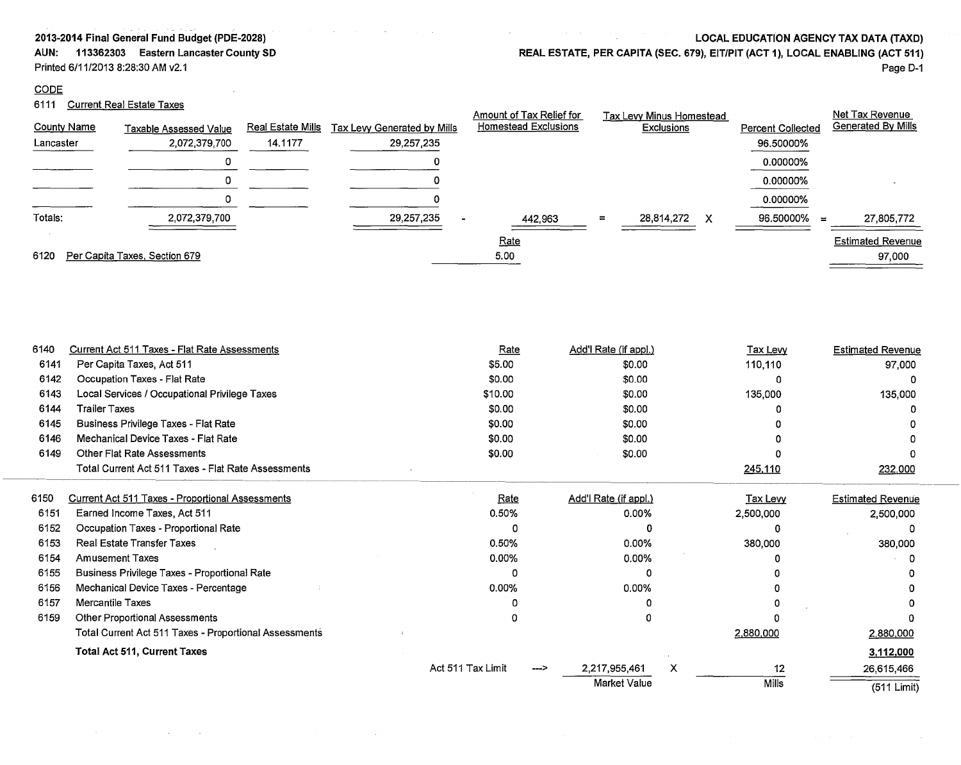### **LOCAL EDUCATION AGENCY TAX DATA (TAXD)**

# **AUN: 113362303 Eastern Lancaster County SD**

Printed 6/11/2013 8:28:30 AM v2.1

#### **REAL ESTATE, PER CAPITA (SEC. 679), EIT/PIT (ACT 1), LOCAL ENABLING (ACT 511)**  Page D-1

 $\mathcal{O}(\mathcal{O}_\mathcal{O})$  . The contribution of the contribution of the contribution of  $\mathcal{O}(\mathcal{O}_\mathcal{O})$ 

### **CODE**

#### 6111 Current Real Estate Taxes

| .<br><b>County Name</b> | <b>Outfort Roal Estate Taxes</b><br>Taxable Assessed Value | Real Estate Mills | Tax Levy Generated by Mills | Amount of Tax Relief for<br>Homestead Exclusions |          | Tax Levy Minus Homestead<br>Exclusions |     | <b>Percent Collected</b> |          | Net Tax Revenue<br><b>Generated By Mills</b> |
|-------------------------|------------------------------------------------------------|-------------------|-----------------------------|--------------------------------------------------|----------|----------------------------------------|-----|--------------------------|----------|----------------------------------------------|
| Lancaster               | 2,072,379,700                                              | 14.1177           | 29,257,235                  |                                                  |          |                                        |     | 96.50000%                |          |                                              |
|                         | o                                                          |                   |                             |                                                  |          |                                        |     | $0.00000\%$              |          |                                              |
|                         | 0                                                          |                   |                             |                                                  |          |                                        |     | 0.00000%                 |          |                                              |
|                         |                                                            |                   |                             |                                                  |          |                                        |     | 0.00000%                 |          |                                              |
| Totals:                 | 2,072,379,700                                              |                   | 29,257,235                  | 442,963                                          | $\equiv$ | 28,814,272                             | - X | 96.50000%                | $\equiv$ | 27,805,772                                   |
| 6120                    | Per Capita Taxes, Section 679                              |                   |                             | Rate<br>5.00                                     |          |                                        |     |                          |          | <b>Estimated Revenue</b><br>97,000           |

| 6140 | Current Act 511 Taxes - Flat Rate Assessments           | Rate              |    | Add'l Rate (if appl.) |   | <b>Tax Levy</b> | <b>Estimated Revenue</b> |
|------|---------------------------------------------------------|-------------------|----|-----------------------|---|-----------------|--------------------------|
| 6141 | Per Capita Taxes, Act 511                               | \$5.00            |    | \$0.00                |   | 110,110         | 97,000                   |
| 6142 | Occupation Taxes - Flat Rate                            | \$0.00            |    | \$0.00                |   |                 |                          |
| 6143 | Local Services / Occupational Privilege Taxes           | \$10.00           |    | \$0.00                |   | 135,000         | 135,000                  |
| 6144 | <b>Trailer Taxes</b>                                    | \$0.00            |    | \$0.00                |   |                 |                          |
| 6145 | Business Privilege Taxes - Flat Rate                    | \$0.00            |    | \$0.00                |   |                 |                          |
| 6146 | Mechanical Device Taxes - Flat Rate                     | \$0.00            |    | \$0.00                |   |                 |                          |
| 6149 | <b>Other Flat Rate Assessments</b>                      | \$0.00            |    | \$0.00                |   |                 |                          |
|      | Total Current Act 511 Taxes - Flat Rate Assessments     |                   |    |                       |   | 245,110         | 232,000                  |
| 6150 | <b>Current Act 511 Taxes - Proportional Assessments</b> | Rate              |    | Add'l Rate (if appl.) |   | <b>Tax Levy</b> | <b>Estimated Revenue</b> |
| 6151 | Earned Income Taxes, Act 511                            | 0.50%             |    | 0.00%                 |   | 2,500,000       | 2,500,000                |
| 6152 | Occupation Taxes - Proportional Rate                    |                   |    |                       |   |                 |                          |
| 6153 | Real Estate Transfer Taxes                              | 0.50%             |    | $0.00\%$              |   | 380,000         | 380,000                  |
| 6154 | <b>Amusement Taxes</b>                                  | 0.00%             |    | $0.00\%$              |   |                 |                          |
| 6155 | Business Privilege Taxes - Proportional Rate            | Ω                 |    |                       |   |                 |                          |
| 6156 | Mechanical Device Taxes - Percentage                    | $0.00\%$          |    | 0.00%                 |   |                 |                          |
| 6157 | <b>Mercantile Taxes</b>                                 |                   |    |                       |   |                 |                          |
| 6159 | <b>Other Proportional Assessments</b>                   |                   |    |                       |   |                 |                          |
|      | Total Current Act 511 Taxes - Proportional Assessments  |                   |    |                       |   | 2,880,000       | 2,880,000                |
|      | <b>Total Act 511, Current Taxes</b>                     |                   |    |                       |   |                 | 3,112,000                |
|      |                                                         | Act 511 Tax Limit | ⊸> | 2,217,955,461         | x | 12              | 26,615,466               |
|      |                                                         |                   |    | Market Value          |   | Mills           | (511 Limit)              |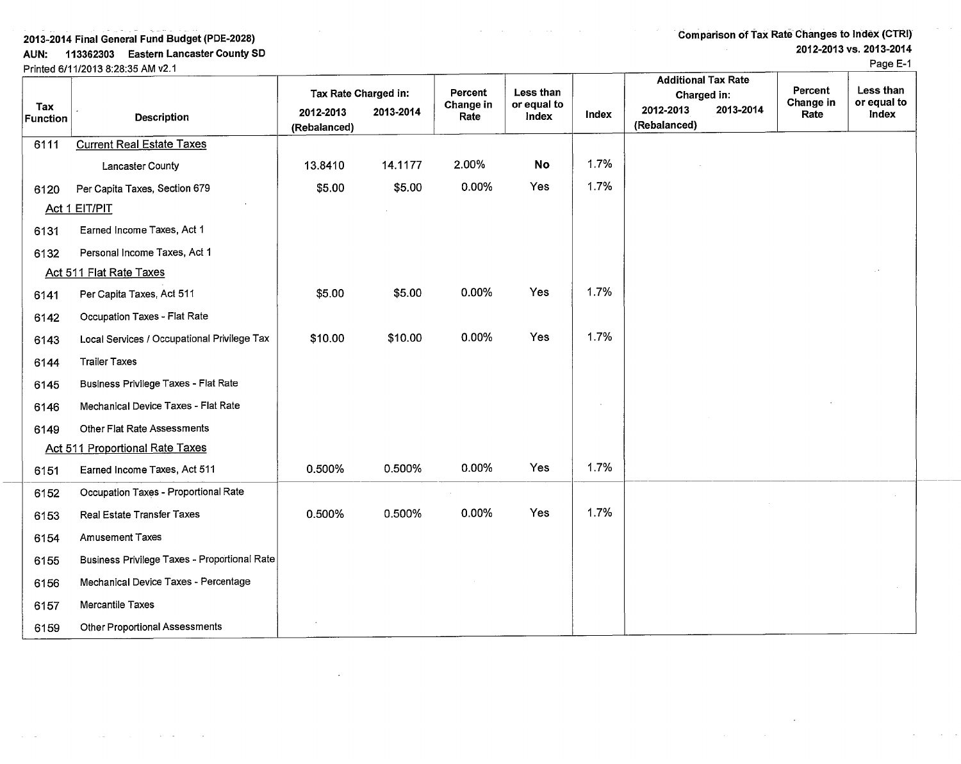AUN: 113362303 Eastern Lancaster County SD

 $\sim 10^{-1}$  km

 $\sim$   $\sim$ 

 $\sim$ 

|  |  |  | <b>Comparison of Tax Rate Changes to Index (CTRI)</b> |
|--|--|--|-------------------------------------------------------|
|--|--|--|-------------------------------------------------------|

2012-2013 vs. 2013-2014

|                 | Printed 6/11/2013 8:28:35 AM v2.1                   |                                                                |         |                              |                                   |       |                                                                                     |                              | Page E-1                          |
|-----------------|-----------------------------------------------------|----------------------------------------------------------------|---------|------------------------------|-----------------------------------|-------|-------------------------------------------------------------------------------------|------------------------------|-----------------------------------|
| Tax<br>Function | <b>Description</b>                                  | Tax Rate Charged in:<br>2012-2013<br>2013-2014<br>(Rebalanced) |         | Percent<br>Change in<br>Rate | Less than<br>or equal to<br>Index | Index | <b>Additional Tax Rate</b><br>Charged in:<br>2012-2013<br>2013-2014<br>(Rebalanced) | Percent<br>Change in<br>Rate | Less than<br>or equal to<br>Index |
| 6111            | <b>Current Real Estate Taxes</b>                    |                                                                |         |                              |                                   |       |                                                                                     |                              |                                   |
|                 | Lancaster County                                    | 13.8410                                                        | 14.1177 | 2.00%                        | No                                | 1.7%  |                                                                                     |                              |                                   |
| 6120            | Per Capita Taxes, Section 679                       | \$5.00                                                         | \$5.00  | 0.00%                        | Yes                               | 1.7%  |                                                                                     |                              |                                   |
|                 | Act 1 EIT/PIT                                       |                                                                |         |                              |                                   |       |                                                                                     |                              |                                   |
| 6131            | Earned Income Taxes, Act 1                          |                                                                |         |                              |                                   |       |                                                                                     |                              |                                   |
| 6132            | Personal Income Taxes, Act 1                        |                                                                |         |                              |                                   |       |                                                                                     |                              |                                   |
|                 | Act 511 Flat Rate Taxes                             |                                                                |         |                              |                                   |       |                                                                                     |                              |                                   |
| 6141            | Per Capita Taxes, Act 511                           | \$5.00                                                         | \$5.00  | 0.00%                        | Yes                               | 1.7%  |                                                                                     |                              |                                   |
| 6142            | Occupation Taxes - Flat Rate                        |                                                                |         |                              |                                   |       |                                                                                     |                              |                                   |
| 6143            | Local Services / Occupational Privilege Tax         | \$10.00                                                        | \$10.00 | 0.00%                        | Yes                               | 1.7%  |                                                                                     |                              |                                   |
| 6144            | <b>Trailer Taxes</b>                                |                                                                |         |                              |                                   |       |                                                                                     |                              |                                   |
| 6145            | Business Privilege Taxes - Flat Rate                |                                                                |         |                              |                                   |       |                                                                                     |                              |                                   |
| 6146            | Mechanical Device Taxes - Flat Rate                 |                                                                |         |                              |                                   |       |                                                                                     |                              |                                   |
| 6149            | Other Flat Rate Assessments                         |                                                                |         |                              |                                   |       |                                                                                     |                              |                                   |
|                 | Act 511 Proportional Rate Taxes                     |                                                                |         |                              |                                   |       |                                                                                     |                              |                                   |
| 6151            | Earned Income Taxes, Act 511                        | 0.500%                                                         | 0.500%  | 0.00%                        | Yes                               | 1.7%  |                                                                                     |                              |                                   |
| 6152            | Occupation Taxes - Proportional Rate                |                                                                |         |                              |                                   |       |                                                                                     |                              |                                   |
| 6153            | Real Estate Transfer Taxes                          | 0.500%                                                         | 0.500%  | 0.00%                        | Yes                               | 1.7%  |                                                                                     |                              |                                   |
| 6154            | <b>Amusement Taxes</b>                              |                                                                |         |                              |                                   |       |                                                                                     |                              |                                   |
| 6155            | <b>Business Privilege Taxes - Proportional Rate</b> |                                                                |         |                              |                                   |       |                                                                                     |                              |                                   |
| 6156            | Mechanical Device Taxes - Percentage                |                                                                |         |                              |                                   |       |                                                                                     |                              |                                   |
| 6157            | Mercantile Taxes                                    |                                                                |         |                              |                                   |       |                                                                                     |                              |                                   |
| 6159            | <b>Other Proportional Assessments</b>               |                                                                |         |                              |                                   |       |                                                                                     |                              |                                   |

 $\alpha$  ,  $\beta$  ,  $\alpha$  ,  $\beta$ 

 $\sim$  $\sim$  100  $\mu$   $\sim 10^{11}$  km  $^{-1}$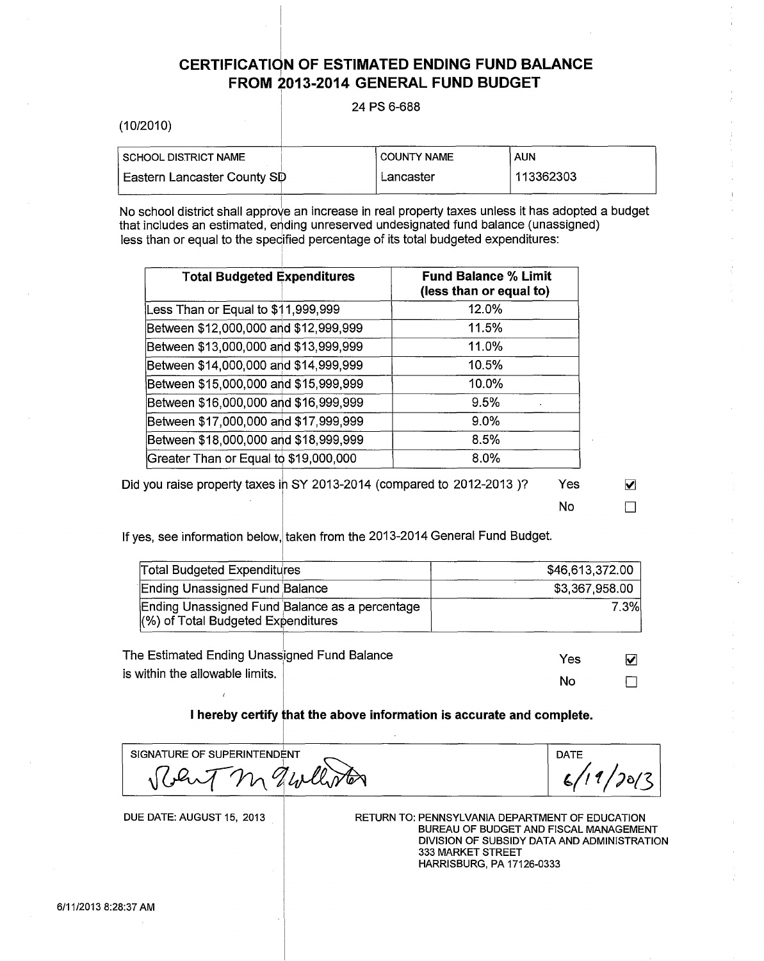## **CERTIFICATION OF ESTIMATED ENDING FUND BALANCE FROM 2013-2014 GENERAL FUND BUDGET**

I

(10/2010)

24 PS 6-688

| <b>I SCHOOL DISTRICT NAME</b>      | <b>COUNTY NAME</b> | <b>AUN</b> |
|------------------------------------|--------------------|------------|
| <b>Eastern Lancaster County SD</b> | Lancaster          | 113362303  |

No school district shall approve an increase in real property taxes unless it has adopted a budget that includes an estimated, ehding unreserved undesignated fund balance (unassigned) less than or equal to the specified percentage of its total budgeted expenditures:

| <b>Total Budgeted Expenditures</b>    | <b>Fund Balance % Limit</b><br>(less than or equal to) |
|---------------------------------------|--------------------------------------------------------|
| Less Than or Equal to \$11,999,999    | 12.0%                                                  |
| Between \$12,000,000 and \$12,999,999 | 11.5%                                                  |
| Between \$13,000,000 and \$13,999,999 | 11.0%                                                  |
| Between \$14,000,000 and \$14,999,999 | 10.5%                                                  |
| Between \$15,000,000 and \$15,999,999 | 10.0%                                                  |
| Between \$16,000,000 and \$16,999,999 | 9.5%                                                   |
| Between \$17,000,000 and \$17,999,999 | $9.0\%$                                                |
| Between \$18,000,000 and \$18,999,999 | 8.5%                                                   |
| Greater Than or Equal to \$19,000,000 | $8.0\%$                                                |
|                                       |                                                        |

Did you raise property taxes in SY 2013-2014 (compared to 2012-2013 )? Yes  $\Box$ 

If yes, see information below, taken from the 2013-2014 General Fund Budget.

| <b>Total Budgeted Expenditures</b>                                                     | \$46,613,372.00 |
|----------------------------------------------------------------------------------------|-----------------|
| <b>Ending Unassigned Fund Balance</b>                                                  | \$3,367,958.00  |
| Ending Unassigned Fund Balance as a percentage<br>$(%)$ of Total Budgeted Expenditures | 7.3%            |

I The Estimated Ending Unassigned Fund Balance is within the allowable limits.

I

I

# I **I hereby certify that the above information is accurate and complete.**

I . SIGNATURE OF SUPERINTENDENT SIGNATURE OF SUPERINTENENT VALUATOR

Yes No

DUE DATE: AUGUST 15, 2013 | RETURN TO: PENNSYLVANIA DEPARTMENT OF EDUCATION BUREAU OF BUDGET AND FISCAL MANAGEMENT DIVISION OF SUBSIDY DATA AND ADMINISTRATION 333 MARKET STREET HARRISBURG, PA 17126-0333

I No Distribution of the No Distribution of No Distribution of No Distribution of Distribution of Distribution<br>In the Distribution of Distribution of Distribution of Distribution of Distribution of Distribution of Distrib

~  $\Box$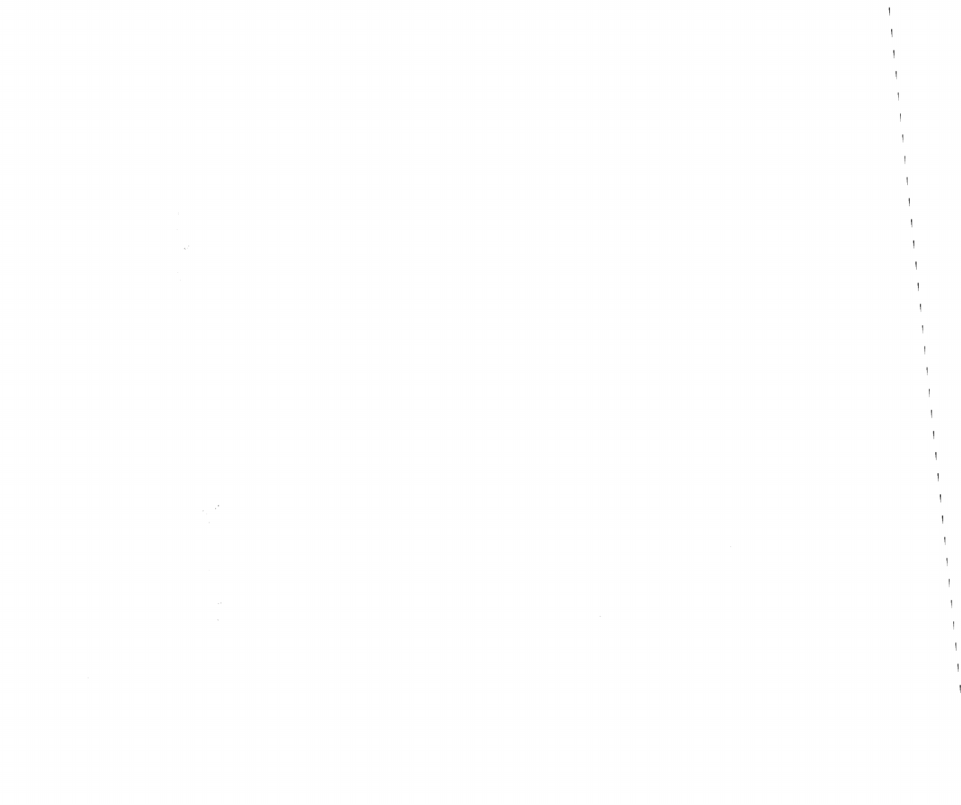$\label{eq:2.1} \begin{split} \mathcal{L}_{\text{max}}(\mathcal{L}_{\text{max}}) = \mathcal{L}_{\text{max}}(\mathcal{L}_{\text{max}}) \mathcal{L}_{\text{max}}(\mathcal{L}_{\text{max}}) \mathcal{L}_{\text{max}}(\mathcal{L}_{\text{max}}) \mathcal{L}_{\text{max}}(\mathcal{L}_{\text{max}}) \mathcal{L}_{\text{max}}(\mathcal{L}_{\text{max}}) \mathcal{L}_{\text{max}}(\mathcal{L}_{\text{max}}) \mathcal{L}_{\text{max}}(\mathcal{L}_{\text{max}}) \mathcal{L}_{\text{max}}(\mathcal{L}_{\text{max$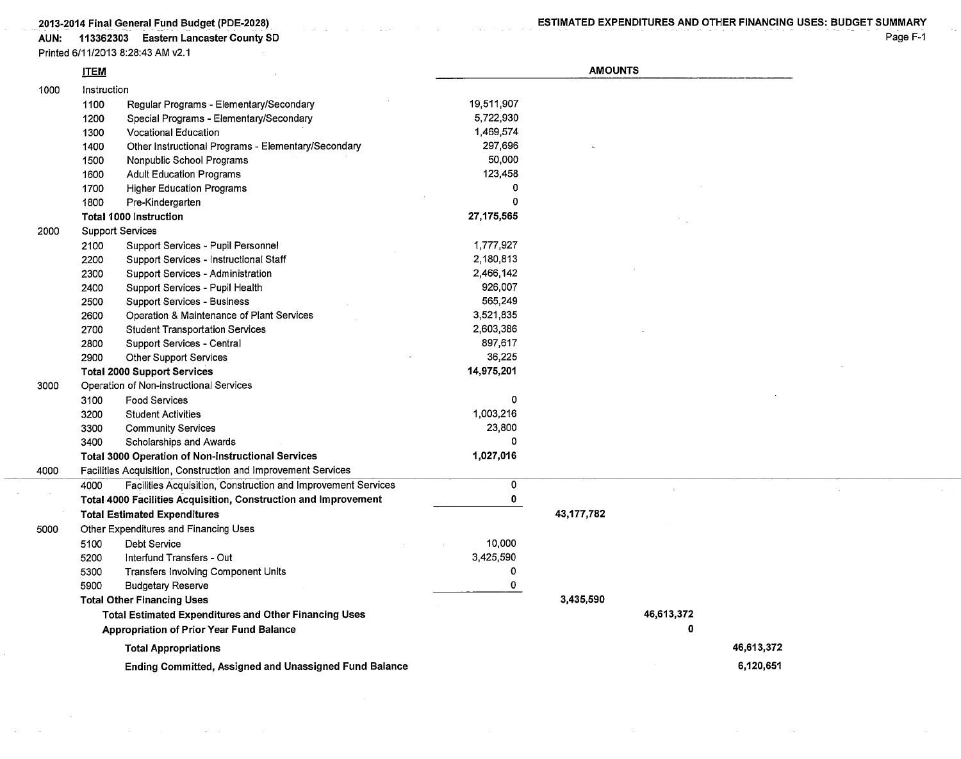AUN: 113362303 Eastern Lancaster County SD

Printed 6/11/2013 8:28:43 AM v2.1

| 1000<br>Instruction<br>19,511,907<br>1100<br>Regular Programs - Elementary/Secondary<br>5,722,930<br>1200<br>Special Programs - Elementary/Secondary<br>1,469,574<br>1300<br><b>Vocational Education</b><br>297,696<br>1400<br>Other Instructional Programs - Elementary/Secondary<br>50,000<br>1500<br>Nonpublic School Programs<br>123,458<br>1600<br><b>Adult Education Programs</b><br>0<br>1700<br><b>Higher Education Programs</b><br>$\Omega$<br>1800<br>Pre-Kindergarten<br>27, 175, 565<br><b>Total 1000 Instruction</b><br>2000<br><b>Support Services</b><br>1,777,927<br>2100<br>Support Services - Pupil Personnel<br>2200<br>Support Services - Instructional Staff<br>2,180,813<br>2,466,142<br>2300<br>Support Services - Administration<br>926,007<br>2400<br>Support Services - Pupil Health<br>565,249<br>2500<br><b>Support Services - Business</b><br>3,521,835<br>2600<br>Operation & Maintenance of Plant Services<br><b>Student Transportation Services</b><br>2,603,386<br>2700<br>897,617<br>2800<br>Support Services - Central<br>36,225<br>2900<br>Other Support Services<br>14,975,201<br><b>Total 2000 Support Services</b><br>Operation of Non-instructional Services<br>3000<br>$\mathbf 0$<br><b>Food Services</b><br>3100<br>1,003,216<br>3200<br><b>Student Activities</b><br>23,800<br>3300<br><b>Community Services</b><br>0<br>3400<br>Scholarships and Awards<br>1,027,016<br>Total 3000 Operation of Non-instructional Services<br>Facilities Acquisition, Construction and Improvement Services<br>4000<br>0<br>Facilities Acquisition, Construction and Improvement Services<br>4000<br>0<br>Total 4000 Facilities Acquisition, Construction and Improvement<br>43,177,782<br><b>Total Estimated Expenditures</b><br>Other Expenditures and Financing Uses<br>5000<br>10,000<br>5100<br>Debt Service<br>3,425,590<br>5200<br>Interfund Transfers - Out<br>0<br>5300<br><b>Transfers Involving Component Units</b><br>0<br>5900<br><b>Budgetary Reserve</b><br>3,435,590<br><b>Total Other Financing Uses</b><br>46,613,372<br><b>Total Estimated Expenditures and Other Financing Uses</b><br>0<br><b>Appropriation of Prior Year Fund Balance</b><br>46,613,372<br><b>Total Appropriations</b> | <b>ITEM</b> |                                                        | <b>AMOUNTS</b> |           |
|-------------------------------------------------------------------------------------------------------------------------------------------------------------------------------------------------------------------------------------------------------------------------------------------------------------------------------------------------------------------------------------------------------------------------------------------------------------------------------------------------------------------------------------------------------------------------------------------------------------------------------------------------------------------------------------------------------------------------------------------------------------------------------------------------------------------------------------------------------------------------------------------------------------------------------------------------------------------------------------------------------------------------------------------------------------------------------------------------------------------------------------------------------------------------------------------------------------------------------------------------------------------------------------------------------------------------------------------------------------------------------------------------------------------------------------------------------------------------------------------------------------------------------------------------------------------------------------------------------------------------------------------------------------------------------------------------------------------------------------------------------------------------------------------------------------------------------------------------------------------------------------------------------------------------------------------------------------------------------------------------------------------------------------------------------------------------------------------------------------------------------------------------------------------------------------------------------------------------------------------|-------------|--------------------------------------------------------|----------------|-----------|
|                                                                                                                                                                                                                                                                                                                                                                                                                                                                                                                                                                                                                                                                                                                                                                                                                                                                                                                                                                                                                                                                                                                                                                                                                                                                                                                                                                                                                                                                                                                                                                                                                                                                                                                                                                                                                                                                                                                                                                                                                                                                                                                                                                                                                                           |             |                                                        |                |           |
|                                                                                                                                                                                                                                                                                                                                                                                                                                                                                                                                                                                                                                                                                                                                                                                                                                                                                                                                                                                                                                                                                                                                                                                                                                                                                                                                                                                                                                                                                                                                                                                                                                                                                                                                                                                                                                                                                                                                                                                                                                                                                                                                                                                                                                           |             |                                                        |                |           |
|                                                                                                                                                                                                                                                                                                                                                                                                                                                                                                                                                                                                                                                                                                                                                                                                                                                                                                                                                                                                                                                                                                                                                                                                                                                                                                                                                                                                                                                                                                                                                                                                                                                                                                                                                                                                                                                                                                                                                                                                                                                                                                                                                                                                                                           |             |                                                        |                |           |
|                                                                                                                                                                                                                                                                                                                                                                                                                                                                                                                                                                                                                                                                                                                                                                                                                                                                                                                                                                                                                                                                                                                                                                                                                                                                                                                                                                                                                                                                                                                                                                                                                                                                                                                                                                                                                                                                                                                                                                                                                                                                                                                                                                                                                                           |             |                                                        |                |           |
|                                                                                                                                                                                                                                                                                                                                                                                                                                                                                                                                                                                                                                                                                                                                                                                                                                                                                                                                                                                                                                                                                                                                                                                                                                                                                                                                                                                                                                                                                                                                                                                                                                                                                                                                                                                                                                                                                                                                                                                                                                                                                                                                                                                                                                           |             |                                                        |                |           |
|                                                                                                                                                                                                                                                                                                                                                                                                                                                                                                                                                                                                                                                                                                                                                                                                                                                                                                                                                                                                                                                                                                                                                                                                                                                                                                                                                                                                                                                                                                                                                                                                                                                                                                                                                                                                                                                                                                                                                                                                                                                                                                                                                                                                                                           |             |                                                        |                |           |
|                                                                                                                                                                                                                                                                                                                                                                                                                                                                                                                                                                                                                                                                                                                                                                                                                                                                                                                                                                                                                                                                                                                                                                                                                                                                                                                                                                                                                                                                                                                                                                                                                                                                                                                                                                                                                                                                                                                                                                                                                                                                                                                                                                                                                                           |             |                                                        |                |           |
|                                                                                                                                                                                                                                                                                                                                                                                                                                                                                                                                                                                                                                                                                                                                                                                                                                                                                                                                                                                                                                                                                                                                                                                                                                                                                                                                                                                                                                                                                                                                                                                                                                                                                                                                                                                                                                                                                                                                                                                                                                                                                                                                                                                                                                           |             |                                                        |                |           |
|                                                                                                                                                                                                                                                                                                                                                                                                                                                                                                                                                                                                                                                                                                                                                                                                                                                                                                                                                                                                                                                                                                                                                                                                                                                                                                                                                                                                                                                                                                                                                                                                                                                                                                                                                                                                                                                                                                                                                                                                                                                                                                                                                                                                                                           |             |                                                        |                |           |
|                                                                                                                                                                                                                                                                                                                                                                                                                                                                                                                                                                                                                                                                                                                                                                                                                                                                                                                                                                                                                                                                                                                                                                                                                                                                                                                                                                                                                                                                                                                                                                                                                                                                                                                                                                                                                                                                                                                                                                                                                                                                                                                                                                                                                                           |             |                                                        |                |           |
|                                                                                                                                                                                                                                                                                                                                                                                                                                                                                                                                                                                                                                                                                                                                                                                                                                                                                                                                                                                                                                                                                                                                                                                                                                                                                                                                                                                                                                                                                                                                                                                                                                                                                                                                                                                                                                                                                                                                                                                                                                                                                                                                                                                                                                           |             |                                                        |                |           |
|                                                                                                                                                                                                                                                                                                                                                                                                                                                                                                                                                                                                                                                                                                                                                                                                                                                                                                                                                                                                                                                                                                                                                                                                                                                                                                                                                                                                                                                                                                                                                                                                                                                                                                                                                                                                                                                                                                                                                                                                                                                                                                                                                                                                                                           |             |                                                        |                |           |
|                                                                                                                                                                                                                                                                                                                                                                                                                                                                                                                                                                                                                                                                                                                                                                                                                                                                                                                                                                                                                                                                                                                                                                                                                                                                                                                                                                                                                                                                                                                                                                                                                                                                                                                                                                                                                                                                                                                                                                                                                                                                                                                                                                                                                                           |             |                                                        |                |           |
|                                                                                                                                                                                                                                                                                                                                                                                                                                                                                                                                                                                                                                                                                                                                                                                                                                                                                                                                                                                                                                                                                                                                                                                                                                                                                                                                                                                                                                                                                                                                                                                                                                                                                                                                                                                                                                                                                                                                                                                                                                                                                                                                                                                                                                           |             |                                                        |                |           |
|                                                                                                                                                                                                                                                                                                                                                                                                                                                                                                                                                                                                                                                                                                                                                                                                                                                                                                                                                                                                                                                                                                                                                                                                                                                                                                                                                                                                                                                                                                                                                                                                                                                                                                                                                                                                                                                                                                                                                                                                                                                                                                                                                                                                                                           |             |                                                        |                |           |
|                                                                                                                                                                                                                                                                                                                                                                                                                                                                                                                                                                                                                                                                                                                                                                                                                                                                                                                                                                                                                                                                                                                                                                                                                                                                                                                                                                                                                                                                                                                                                                                                                                                                                                                                                                                                                                                                                                                                                                                                                                                                                                                                                                                                                                           |             |                                                        |                |           |
|                                                                                                                                                                                                                                                                                                                                                                                                                                                                                                                                                                                                                                                                                                                                                                                                                                                                                                                                                                                                                                                                                                                                                                                                                                                                                                                                                                                                                                                                                                                                                                                                                                                                                                                                                                                                                                                                                                                                                                                                                                                                                                                                                                                                                                           |             |                                                        |                |           |
|                                                                                                                                                                                                                                                                                                                                                                                                                                                                                                                                                                                                                                                                                                                                                                                                                                                                                                                                                                                                                                                                                                                                                                                                                                                                                                                                                                                                                                                                                                                                                                                                                                                                                                                                                                                                                                                                                                                                                                                                                                                                                                                                                                                                                                           |             |                                                        |                |           |
|                                                                                                                                                                                                                                                                                                                                                                                                                                                                                                                                                                                                                                                                                                                                                                                                                                                                                                                                                                                                                                                                                                                                                                                                                                                                                                                                                                                                                                                                                                                                                                                                                                                                                                                                                                                                                                                                                                                                                                                                                                                                                                                                                                                                                                           |             |                                                        |                |           |
|                                                                                                                                                                                                                                                                                                                                                                                                                                                                                                                                                                                                                                                                                                                                                                                                                                                                                                                                                                                                                                                                                                                                                                                                                                                                                                                                                                                                                                                                                                                                                                                                                                                                                                                                                                                                                                                                                                                                                                                                                                                                                                                                                                                                                                           |             |                                                        |                |           |
|                                                                                                                                                                                                                                                                                                                                                                                                                                                                                                                                                                                                                                                                                                                                                                                                                                                                                                                                                                                                                                                                                                                                                                                                                                                                                                                                                                                                                                                                                                                                                                                                                                                                                                                                                                                                                                                                                                                                                                                                                                                                                                                                                                                                                                           |             |                                                        |                |           |
|                                                                                                                                                                                                                                                                                                                                                                                                                                                                                                                                                                                                                                                                                                                                                                                                                                                                                                                                                                                                                                                                                                                                                                                                                                                                                                                                                                                                                                                                                                                                                                                                                                                                                                                                                                                                                                                                                                                                                                                                                                                                                                                                                                                                                                           |             |                                                        |                |           |
|                                                                                                                                                                                                                                                                                                                                                                                                                                                                                                                                                                                                                                                                                                                                                                                                                                                                                                                                                                                                                                                                                                                                                                                                                                                                                                                                                                                                                                                                                                                                                                                                                                                                                                                                                                                                                                                                                                                                                                                                                                                                                                                                                                                                                                           |             |                                                        |                |           |
|                                                                                                                                                                                                                                                                                                                                                                                                                                                                                                                                                                                                                                                                                                                                                                                                                                                                                                                                                                                                                                                                                                                                                                                                                                                                                                                                                                                                                                                                                                                                                                                                                                                                                                                                                                                                                                                                                                                                                                                                                                                                                                                                                                                                                                           |             |                                                        |                |           |
|                                                                                                                                                                                                                                                                                                                                                                                                                                                                                                                                                                                                                                                                                                                                                                                                                                                                                                                                                                                                                                                                                                                                                                                                                                                                                                                                                                                                                                                                                                                                                                                                                                                                                                                                                                                                                                                                                                                                                                                                                                                                                                                                                                                                                                           |             |                                                        |                |           |
|                                                                                                                                                                                                                                                                                                                                                                                                                                                                                                                                                                                                                                                                                                                                                                                                                                                                                                                                                                                                                                                                                                                                                                                                                                                                                                                                                                                                                                                                                                                                                                                                                                                                                                                                                                                                                                                                                                                                                                                                                                                                                                                                                                                                                                           |             |                                                        |                |           |
|                                                                                                                                                                                                                                                                                                                                                                                                                                                                                                                                                                                                                                                                                                                                                                                                                                                                                                                                                                                                                                                                                                                                                                                                                                                                                                                                                                                                                                                                                                                                                                                                                                                                                                                                                                                                                                                                                                                                                                                                                                                                                                                                                                                                                                           |             |                                                        |                |           |
|                                                                                                                                                                                                                                                                                                                                                                                                                                                                                                                                                                                                                                                                                                                                                                                                                                                                                                                                                                                                                                                                                                                                                                                                                                                                                                                                                                                                                                                                                                                                                                                                                                                                                                                                                                                                                                                                                                                                                                                                                                                                                                                                                                                                                                           |             |                                                        |                |           |
|                                                                                                                                                                                                                                                                                                                                                                                                                                                                                                                                                                                                                                                                                                                                                                                                                                                                                                                                                                                                                                                                                                                                                                                                                                                                                                                                                                                                                                                                                                                                                                                                                                                                                                                                                                                                                                                                                                                                                                                                                                                                                                                                                                                                                                           |             |                                                        |                |           |
|                                                                                                                                                                                                                                                                                                                                                                                                                                                                                                                                                                                                                                                                                                                                                                                                                                                                                                                                                                                                                                                                                                                                                                                                                                                                                                                                                                                                                                                                                                                                                                                                                                                                                                                                                                                                                                                                                                                                                                                                                                                                                                                                                                                                                                           |             |                                                        |                |           |
|                                                                                                                                                                                                                                                                                                                                                                                                                                                                                                                                                                                                                                                                                                                                                                                                                                                                                                                                                                                                                                                                                                                                                                                                                                                                                                                                                                                                                                                                                                                                                                                                                                                                                                                                                                                                                                                                                                                                                                                                                                                                                                                                                                                                                                           |             |                                                        |                |           |
|                                                                                                                                                                                                                                                                                                                                                                                                                                                                                                                                                                                                                                                                                                                                                                                                                                                                                                                                                                                                                                                                                                                                                                                                                                                                                                                                                                                                                                                                                                                                                                                                                                                                                                                                                                                                                                                                                                                                                                                                                                                                                                                                                                                                                                           |             |                                                        |                |           |
|                                                                                                                                                                                                                                                                                                                                                                                                                                                                                                                                                                                                                                                                                                                                                                                                                                                                                                                                                                                                                                                                                                                                                                                                                                                                                                                                                                                                                                                                                                                                                                                                                                                                                                                                                                                                                                                                                                                                                                                                                                                                                                                                                                                                                                           |             |                                                        |                |           |
|                                                                                                                                                                                                                                                                                                                                                                                                                                                                                                                                                                                                                                                                                                                                                                                                                                                                                                                                                                                                                                                                                                                                                                                                                                                                                                                                                                                                                                                                                                                                                                                                                                                                                                                                                                                                                                                                                                                                                                                                                                                                                                                                                                                                                                           |             |                                                        |                |           |
|                                                                                                                                                                                                                                                                                                                                                                                                                                                                                                                                                                                                                                                                                                                                                                                                                                                                                                                                                                                                                                                                                                                                                                                                                                                                                                                                                                                                                                                                                                                                                                                                                                                                                                                                                                                                                                                                                                                                                                                                                                                                                                                                                                                                                                           |             |                                                        |                |           |
|                                                                                                                                                                                                                                                                                                                                                                                                                                                                                                                                                                                                                                                                                                                                                                                                                                                                                                                                                                                                                                                                                                                                                                                                                                                                                                                                                                                                                                                                                                                                                                                                                                                                                                                                                                                                                                                                                                                                                                                                                                                                                                                                                                                                                                           |             |                                                        |                |           |
|                                                                                                                                                                                                                                                                                                                                                                                                                                                                                                                                                                                                                                                                                                                                                                                                                                                                                                                                                                                                                                                                                                                                                                                                                                                                                                                                                                                                                                                                                                                                                                                                                                                                                                                                                                                                                                                                                                                                                                                                                                                                                                                                                                                                                                           |             |                                                        |                |           |
|                                                                                                                                                                                                                                                                                                                                                                                                                                                                                                                                                                                                                                                                                                                                                                                                                                                                                                                                                                                                                                                                                                                                                                                                                                                                                                                                                                                                                                                                                                                                                                                                                                                                                                                                                                                                                                                                                                                                                                                                                                                                                                                                                                                                                                           |             |                                                        |                |           |
|                                                                                                                                                                                                                                                                                                                                                                                                                                                                                                                                                                                                                                                                                                                                                                                                                                                                                                                                                                                                                                                                                                                                                                                                                                                                                                                                                                                                                                                                                                                                                                                                                                                                                                                                                                                                                                                                                                                                                                                                                                                                                                                                                                                                                                           |             |                                                        |                |           |
|                                                                                                                                                                                                                                                                                                                                                                                                                                                                                                                                                                                                                                                                                                                                                                                                                                                                                                                                                                                                                                                                                                                                                                                                                                                                                                                                                                                                                                                                                                                                                                                                                                                                                                                                                                                                                                                                                                                                                                                                                                                                                                                                                                                                                                           |             |                                                        |                |           |
|                                                                                                                                                                                                                                                                                                                                                                                                                                                                                                                                                                                                                                                                                                                                                                                                                                                                                                                                                                                                                                                                                                                                                                                                                                                                                                                                                                                                                                                                                                                                                                                                                                                                                                                                                                                                                                                                                                                                                                                                                                                                                                                                                                                                                                           |             | Ending Committed, Assigned and Unassigned Fund Balance |                | 6,120,651 |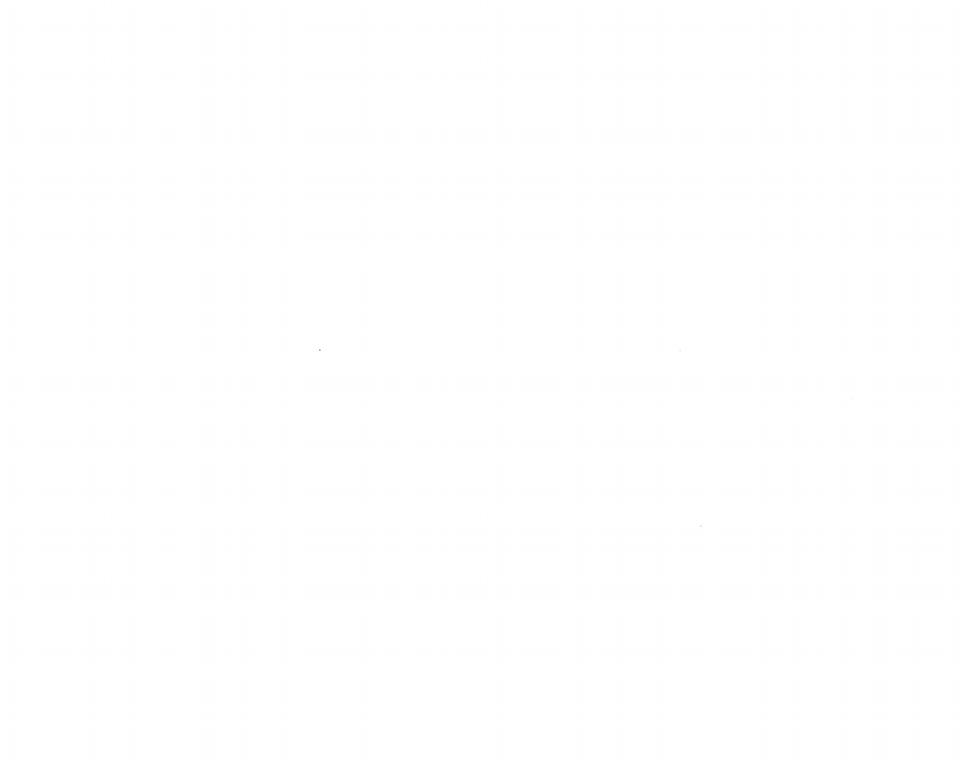$\label{eq:2.1} \mathcal{L}(\mathcal{L}(\mathcal{L})) = \mathcal{L}(\mathcal{L}(\mathcal{L})) = \mathcal{L}(\mathcal{L}(\mathcal{L})) = \mathcal{L}(\mathcal{L}(\mathcal{L})) = \mathcal{L}(\mathcal{L}(\mathcal{L}))$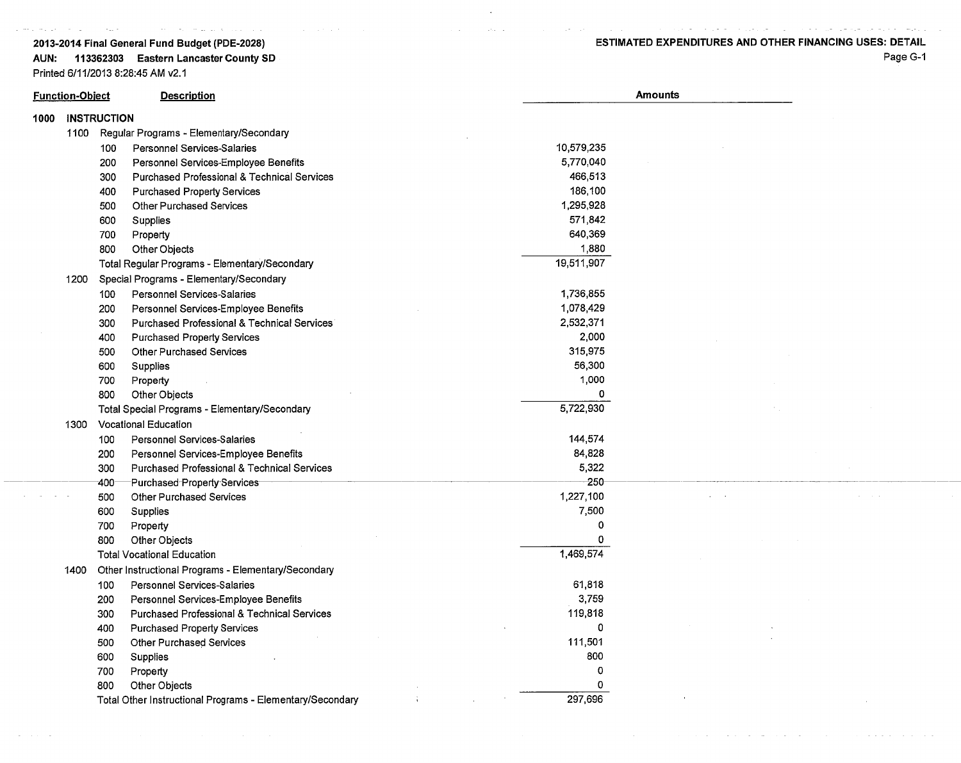**AUN: 113362303 Eastern Lancaster County SD**  Printed 6/11/2013 8:28:45 AM v2.1

**ESTIMATED EXPENDITURES AND OTHER FINANCING USES: DETAIL**  Page G-1

| <b>Function-Object</b> |     | <b>Description</b>                                        |            | <b>Amounts</b> |  |
|------------------------|-----|-----------------------------------------------------------|------------|----------------|--|
| 1000 INSTRUCTION       |     |                                                           |            |                |  |
| 1100                   |     | Regular Programs - Elementary/Secondary                   |            |                |  |
|                        | 100 | Personnel Services-Salaries                               | 10,579,235 |                |  |
|                        | 200 | Personnel Services-Employee Benefits                      | 5,770,040  |                |  |
|                        | 300 | <b>Purchased Professional &amp; Technical Services</b>    | 466,513    |                |  |
|                        | 400 | <b>Purchased Property Services</b>                        | 186,100    |                |  |
|                        | 500 | <b>Other Purchased Services</b>                           | 1,295,928  |                |  |
|                        | 600 | Supplies                                                  | 571,842    |                |  |
|                        | 700 | Property                                                  | 640,369    |                |  |
|                        | 800 | Other Objects                                             | 1,880      |                |  |
|                        |     | Total Regular Programs - Elementary/Secondary             | 19,511,907 |                |  |
| 1200                   |     | Special Programs - Elementary/Secondary                   |            |                |  |
|                        | 100 | Personnel Services-Salaries                               | 1,736,855  |                |  |
|                        | 200 | Personnel Services-Employee Benefits                      | 1,078,429  |                |  |
|                        | 300 | Purchased Professional & Technical Services               | 2,532,371  |                |  |
|                        | 400 | <b>Purchased Property Services</b>                        | 2,000      |                |  |
|                        | 500 | <b>Other Purchased Services</b>                           | 315,975    |                |  |
|                        | 600 | Supplies                                                  | 56,300     |                |  |
|                        | 700 | Property                                                  | 1,000      |                |  |
|                        | 800 | Other Objects                                             | 0          |                |  |
|                        |     | Total Special Programs - Elementary/Secondary             | 5,722,930  |                |  |
| 1300                   |     | <b>Vocational Education</b>                               |            |                |  |
|                        | 100 | <b>Personnel Services-Salaries</b>                        | 144,574    |                |  |
|                        | 200 | Personnel Services-Employee Benefits                      | 84,828     |                |  |
|                        | 300 | Purchased Professional & Technical Services               | 5,322      |                |  |
|                        | 400 | Purchased Property Services                               | 250        |                |  |
|                        | 500 | <b>Other Purchased Services</b>                           | 1,227,100  |                |  |
|                        | 600 | Supplies                                                  | 7,500      |                |  |
|                        | 700 | Property                                                  | 0          |                |  |
|                        | 800 | Other Objects                                             | 0          |                |  |
|                        |     | <b>Total Vocational Education</b>                         | 1,469,574  |                |  |
| 1400                   |     | Other Instructional Programs - Elementary/Secondary       |            |                |  |
|                        | 100 | Personnel Services-Salaries                               | 61,818     |                |  |
|                        | 200 | Personnel Services-Employee Benefits                      | 3,759      |                |  |
|                        | 300 | <b>Purchased Professional &amp; Technical Services</b>    | 119,818    |                |  |
|                        | 400 | <b>Purchased Property Services</b>                        | 0          |                |  |
|                        | 500 | <b>Other Purchased Services</b>                           | 111,501    |                |  |
|                        | 600 | Supplies                                                  | 800        |                |  |
|                        | 700 | Property                                                  | 0          |                |  |
|                        | 800 | Other Objects                                             | 0          |                |  |
|                        |     | Total Other Instructional Programs - Elementary/Secondary | 297,696    |                |  |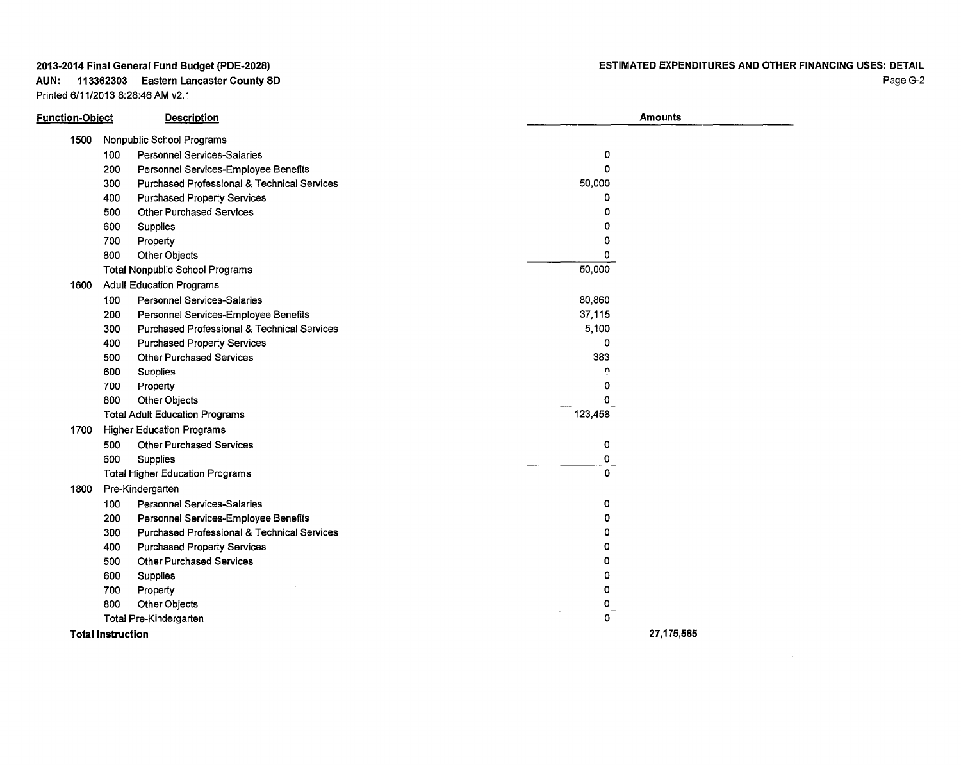# AUN: 113362303 Eastern Lancaster County SD easter County SD easter County SD eastern County SD eastern Lancaster County SD Printed 6/11/2013 8:28:46 AM v2.1

| Function-Object |                          | <b>Description</b>                                     | <b>Amounts</b> |  |
|-----------------|--------------------------|--------------------------------------------------------|----------------|--|
| 1500            |                          | Nonpublic School Programs                              |                |  |
|                 | 100                      | <b>Personnel Services-Salaries</b>                     | 0              |  |
|                 | 200                      | Personnel Services-Employee Benefits                   | 0              |  |
|                 | 300                      | <b>Purchased Professional &amp; Technical Services</b> | 50,000         |  |
|                 | 400                      | <b>Purchased Property Services</b>                     | 0              |  |
|                 | 500                      | <b>Other Purchased Services</b>                        | 0              |  |
|                 | 600                      | <b>Supplies</b>                                        | 0              |  |
|                 | 700                      | Property                                               | 0              |  |
|                 | 800                      | Other Objects                                          | 0              |  |
|                 |                          | <b>Total Nonpublic School Programs</b>                 | 50,000         |  |
| 1600            |                          | <b>Adult Education Programs</b>                        |                |  |
|                 | 100                      | Personnel Services-Salaries                            | 80,860         |  |
|                 | 200                      | Personnel Services-Employee Benefits                   | 37,115         |  |
|                 | 300                      | <b>Purchased Professional &amp; Technical Services</b> | 5,100          |  |
|                 | 400                      | <b>Purchased Property Services</b>                     | 0              |  |
|                 | 500                      | <b>Other Purchased Services</b>                        | 383            |  |
|                 | 600                      | <b>Supplies</b>                                        | U              |  |
|                 | 700                      | Property                                               | 0              |  |
|                 | 800                      | <b>Other Objects</b>                                   | 0              |  |
|                 |                          | <b>Total Adult Education Programs</b>                  | 123,458        |  |
| 1700            |                          | <b>Higher Education Programs</b>                       |                |  |
|                 | 500                      | <b>Other Purchased Services</b>                        | 0              |  |
|                 | 600                      | Supplies                                               | 0              |  |
|                 |                          | <b>Total Higher Education Programs</b>                 | $\Omega$       |  |
| 1800            |                          | Pre-Kindergarten                                       |                |  |
|                 | 100                      | Personnel Services-Salaries                            | 0              |  |
|                 | 200                      | Personnel Services-Employee Benefits                   | 0              |  |
|                 | 300                      | <b>Purchased Professional &amp; Technical Services</b> | 0              |  |
|                 | 400                      | <b>Purchased Property Services</b>                     | 0              |  |
|                 | 500                      | <b>Other Purchased Services</b>                        | 0              |  |
|                 | 600                      | Supplies                                               | 0              |  |
|                 | 700                      | Property                                               | 0              |  |
|                 | 800                      | Other Objects                                          | 0              |  |
|                 |                          | Total Pre-Kindergarten                                 | 0              |  |
|                 | <b>Total Instruction</b> |                                                        | 27,175,565     |  |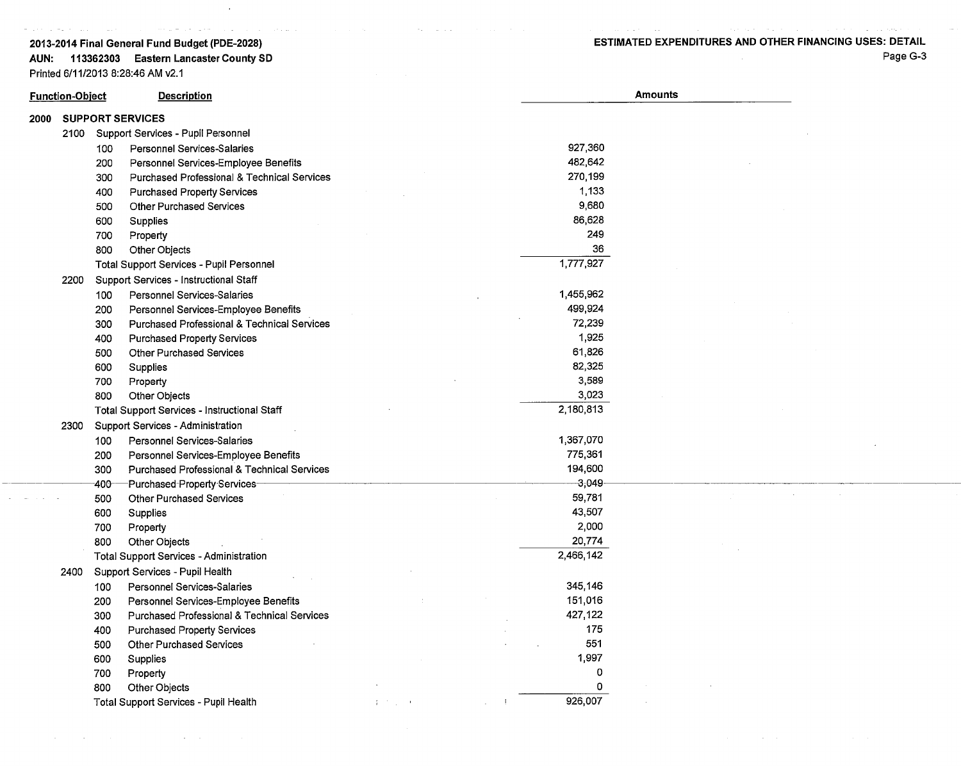$\sim 10^{-11}$ 

 $\cdot$ 

and the state

**AUN: 113362303 Eastern Lancaster County SD**  Printed 6/11/2013 8:28:46 AM v2.1

**ESTIMATED EXPENDITURES AND OTHER FINANCING USES: DETAIL**  Page G-3

| <b>Function-Object</b> |       | <b>Description</b>                                     |               |           | <b>Amounts</b> |  |
|------------------------|-------|--------------------------------------------------------|---------------|-----------|----------------|--|
| 2000 SUPPORT SERVICES  |       |                                                        |               |           |                |  |
|                        |       | 2100 Support Services - Pupil Personnel                |               |           |                |  |
|                        | 100   | <b>Personnel Services-Salaries</b>                     |               | 927,360   |                |  |
|                        | 200   | Personnel Services-Employee Benefits                   |               | 482,642   |                |  |
|                        | 300   | Purchased Professional & Technical Services            |               | 270,199   |                |  |
|                        | 400   | <b>Purchased Property Services</b>                     |               | 1,133     |                |  |
|                        | 500   | <b>Other Purchased Services</b>                        |               | 9,680     |                |  |
|                        | 600   | Supplies                                               |               | 86,628    |                |  |
|                        | 700   | Property                                               |               | 249       |                |  |
|                        | 800   | Other Objects                                          |               | 36        |                |  |
|                        |       | Total Support Services - Pupil Personnel               |               | 1,777,927 |                |  |
| 2200                   |       | Support Services - Instructional Staff                 |               |           |                |  |
|                        |       |                                                        |               | 1,455,962 |                |  |
|                        | 100   | Personnel Services-Salaries                            |               | 499,924   |                |  |
|                        | 200   | Personnel Services-Employee Benefits                   |               | 72,239    |                |  |
|                        | 300   | Purchased Professional & Technical Services            |               | 1,925     |                |  |
|                        | 400   | <b>Purchased Property Services</b>                     |               | 61,826    |                |  |
|                        | 500   | <b>Other Purchased Services</b>                        |               |           |                |  |
|                        | 600   | Supplies                                               |               | 82,325    |                |  |
|                        | 700   | Property                                               |               | 3,589     |                |  |
|                        | 800   | Other Objects                                          |               | 3,023     |                |  |
|                        |       | Total Support Services - Instructional Staff           |               | 2,180,813 |                |  |
| 2300                   |       | Support Services - Administration                      |               |           |                |  |
|                        | 100   | Personnel Services-Salaries                            |               | 1,367,070 |                |  |
|                        | 200   | Personnel Services-Employee Benefits                   |               | 775,361   |                |  |
|                        | 300   | <b>Purchased Professional &amp; Technical Services</b> |               | 194,600   |                |  |
|                        | -400- | Purchased Property Services                            |               | $-3,049$  |                |  |
|                        | 500   | <b>Other Purchased Services</b>                        |               | 59,781    |                |  |
|                        | 600   | Supplies                                               |               | 43,507    |                |  |
|                        | 700   | Property                                               |               | 2,000     |                |  |
|                        | 800   | <b>Other Objects</b>                                   |               | 20,774    |                |  |
|                        |       | Total Support Services - Administration                |               | 2,466,142 |                |  |
| 2400                   |       | Support Services - Pupil Health                        |               |           |                |  |
|                        | 100   | Personnel Services-Salaries                            |               | 345,146   |                |  |
|                        | 200   | Personnel Services-Employee Benefits                   |               | 151,016   |                |  |
|                        | 300   | Purchased Professional & Technical Services            |               | 427,122   |                |  |
|                        | 400   | Purchased Property Services                            |               | 175       |                |  |
|                        | 500   | <b>Other Purchased Services</b>                        |               | 551       |                |  |
|                        | 600   | Supplies                                               |               | 1,997     |                |  |
|                        | 700   | Property                                               |               | 0         |                |  |
|                        | 800   | <b>Other Objects</b>                                   |               | 0         |                |  |
|                        |       | Total Support Services - Pupil Health                  | $\mathcal{L}$ | 926,007   |                |  |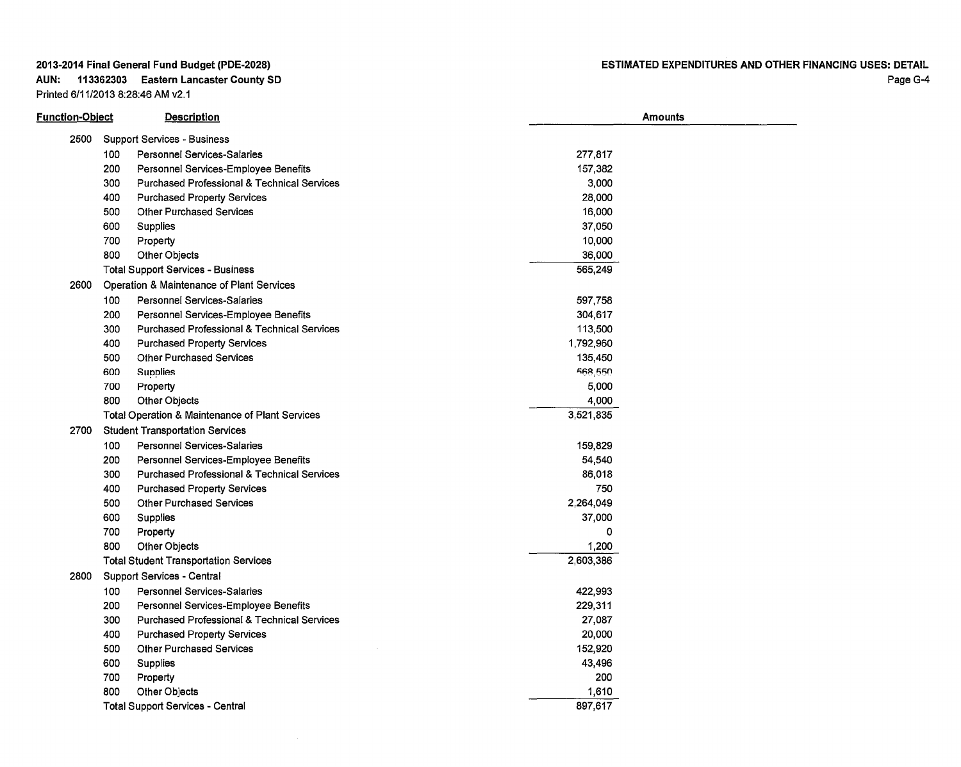#### 2013-2014 Final General Fund Budget (PDE-2028) AUN: 113362303 Eastern Lancaster County SO Printed 6/11/2013 8:28:46 AM v2.1

| <u><b>Function-Object</b></u> | <b>Description</b>                                            | <b>Amounts</b> |
|-------------------------------|---------------------------------------------------------------|----------------|
| 2500                          | <b>Support Services - Business</b>                            |                |
|                               | <b>Personnel Services-Salaries</b><br>100                     | 277,817        |
|                               | 200<br>Personnel Services-Employee Benefits                   | 157,382        |
|                               | 300<br>Purchased Professional & Technical Services            | 3,000          |
|                               | 400<br><b>Purchased Property Services</b>                     | 28,000         |
|                               | <b>Other Purchased Services</b><br>500                        | 16,000         |
|                               | 600<br><b>Supplies</b>                                        | 37,050         |
|                               | 700<br>Property                                               | 10,000         |
|                               | 800<br><b>Other Objects</b>                                   | 36,000         |
|                               | <b>Total Support Services - Business</b>                      | 565,249        |
| 2600                          | Operation & Maintenance of Plant Services                     |                |
|                               | <b>Personnel Services-Salaries</b><br>100                     | 597,758        |
|                               | 200<br>Personnel Services-Employee Benefits                   | 304,617        |
|                               | 300<br><b>Purchased Professional &amp; Technical Services</b> | 113,500        |
|                               | <b>Purchased Property Services</b><br>400                     | 1,792,960      |
|                               | 500<br><b>Other Purchased Services</b>                        | 135,450        |
|                               | 600<br><b>Supplies</b>                                        | 568,550        |
|                               | 700<br>Property                                               | 5,000          |
|                               | 800<br><b>Other Objects</b>                                   | 4,000          |
|                               | Total Operation & Maintenance of Plant Services               | 3,521,835      |
| 2700                          | <b>Student Transportation Services</b>                        |                |
|                               | 100<br><b>Personnel Services-Salaries</b>                     | 159,829        |
|                               | 200<br>Personnel Services-Employee Benefits                   | 54,540         |
|                               | 300<br><b>Purchased Professional &amp; Technical Services</b> | 86,018         |
|                               | <b>Purchased Property Services</b><br>400                     | 750            |
|                               | Other Purchased Services<br>500                               | 2,264,049      |
|                               | 600<br><b>Supplies</b>                                        | 37,000         |
|                               | 700<br>Property                                               | 0              |
|                               | 800<br>Other Objects                                          | 1,200          |
|                               | <b>Total Student Transportation Services</b>                  | 2,603,386      |
| 2800                          | Support Services - Central                                    |                |
|                               | 100<br><b>Personnel Services-Salaries</b>                     | 422,993        |
|                               | 200<br>Personnel Services-Employee Benefits                   | 229,311        |
|                               | <b>Purchased Professional &amp; Technical Services</b><br>300 | 27,087         |
|                               | <b>Purchased Property Services</b><br>400                     | 20,000         |
|                               | <b>Other Purchased Services</b><br>500                        | 152,920        |
|                               | 600<br>Supplies                                               | 43,496         |
|                               | 700<br>Property                                               | 200            |
|                               | 800<br>Other Objects                                          | 1,610          |
|                               | <b>Total Support Services - Central</b>                       | 897,617        |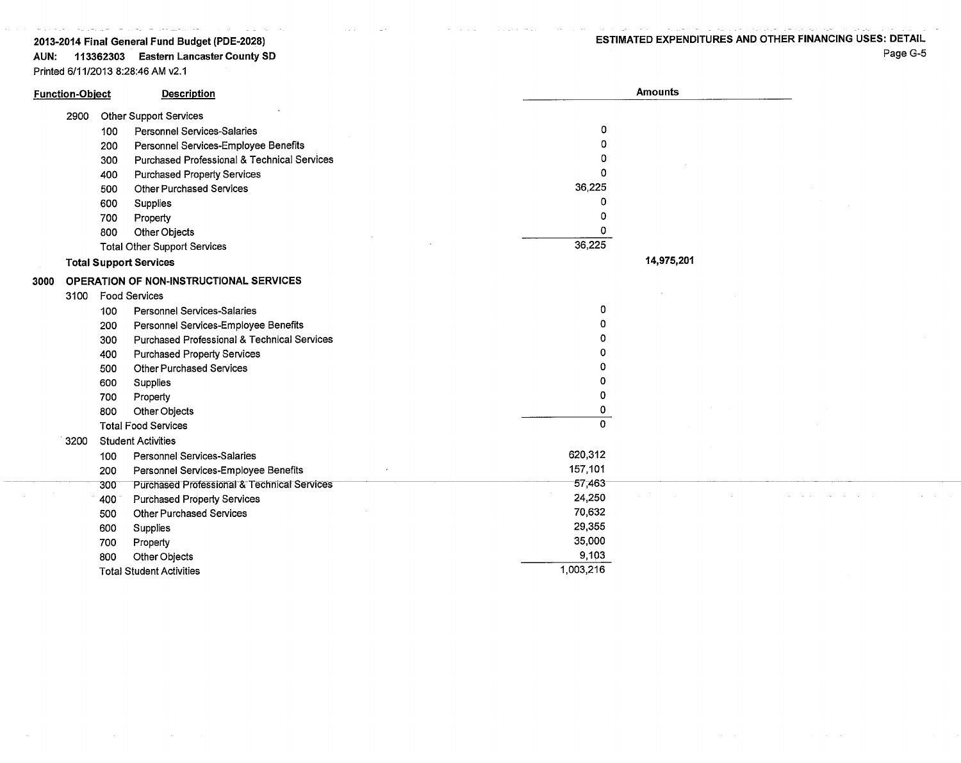**AUN: 113362303 Eastern Lancaster County SD**  Printed 6/11/2013 8:28:46 AM v2.1

| <b>Function-Object</b> | <b>Description</b>                                            |             | <b>Amounts</b> |  |
|------------------------|---------------------------------------------------------------|-------------|----------------|--|
| 2900                   | <b>Other Support Services</b>                                 |             |                |  |
|                        | <b>Personnel Services-Salaries</b><br>100                     | 0           |                |  |
|                        | Personnel Services-Employee Benefits<br>200                   | $\Omega$    |                |  |
|                        | <b>Purchased Professional &amp; Technical Services</b><br>300 | 0           |                |  |
|                        | <b>Purchased Property Services</b><br>400                     | 0           |                |  |
|                        | Other Purchased Services<br>500                               | 36,225      |                |  |
|                        | 600<br>Supplies                                               | Ω           |                |  |
|                        | 700<br>Property                                               | n           |                |  |
|                        | Other Objects<br>800                                          | 0           |                |  |
|                        | <b>Total Other Support Services</b>                           | 36,225      |                |  |
|                        | <b>Total Support Services</b>                                 |             | 14,975,201     |  |
| 3000                   | OPERATION OF NON-INSTRUCTIONAL SERVICES                       |             |                |  |
| 3100                   | <b>Food Services</b>                                          |             |                |  |
|                        | Personnel Services-Salaries<br>100                            | $\Omega$    |                |  |
|                        | Personnel Services-Employee Benefits<br>200                   |             |                |  |
|                        | <b>Purchased Professional &amp; Technical Services</b><br>300 |             |                |  |
|                        | <b>Purchased Property Services</b><br>400                     |             |                |  |
|                        | Other Purchased Services<br>500                               |             |                |  |
|                        | 600<br>Supplies                                               |             |                |  |
|                        | 700<br>Property                                               | 0           |                |  |
|                        | 800<br>Other Objects                                          | 0           |                |  |
|                        | <b>Total Food Services</b>                                    | $\mathbf 0$ |                |  |
| 3200                   | <b>Student Activities</b>                                     |             |                |  |
|                        | Personnel Services-Salaries<br>100                            | 620,312     |                |  |
|                        | Personnel Services-Employee Benefits<br>200                   | 157,101     |                |  |
|                        | <b>Purchased Professional &amp; Technical Services</b><br>300 | 57,463      |                |  |
|                        | <b>Purchased Property Services</b><br>400                     | 24,250      |                |  |
|                        | <b>Other Purchased Services</b><br>500                        | 70,632      |                |  |
|                        | 600<br>Supplies                                               | 29,355      |                |  |
|                        | 700<br>Property                                               | 35,000      |                |  |
|                        | Other Objects<br>800                                          | 9,103       |                |  |
|                        | <b>Total Student Activities</b>                               | 1,003,216   |                |  |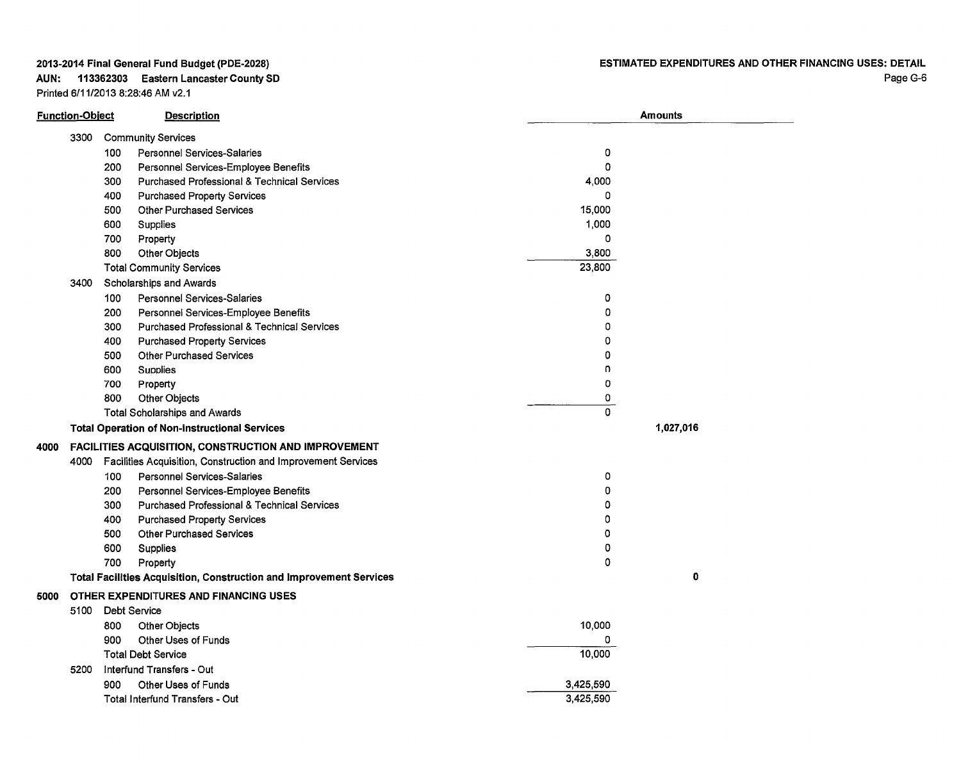#### AUN: 113362303 Eastern Lancaster County SD Printed 6/11/2013 8:28:46 AM v2.1

|      | <b>Function-Object</b> |     | <b>Description</b>                                                  |             | <b>Amounts</b> |
|------|------------------------|-----|---------------------------------------------------------------------|-------------|----------------|
|      | 3300                   |     | <b>Community Services</b>                                           |             |                |
|      |                        | 100 | <b>Personnel Services-Salaries</b>                                  | 0           |                |
|      |                        | 200 | Personnel Services-Employee Benefits                                | $\Omega$    |                |
|      |                        | 300 | <b>Purchased Professional &amp; Technical Services</b>              | 4,000       |                |
|      |                        | 400 | <b>Purchased Property Services</b>                                  | 0           |                |
|      |                        | 500 | Other Purchased Services                                            | 15,000      |                |
|      |                        | 600 | Supplies                                                            | 1,000       |                |
|      |                        | 700 | Property                                                            | 0           |                |
|      |                        | 800 | Other Objects                                                       | 3,800       |                |
|      |                        |     | <b>Total Community Services</b>                                     | 23,800      |                |
|      | 3400                   |     | Scholarships and Awards                                             |             |                |
|      |                        | 100 | <b>Personnel Services-Salaries</b>                                  | 0           |                |
|      |                        | 200 | Personnel Services-Employee Benefits                                | 0           |                |
|      |                        | 300 | <b>Purchased Professional &amp; Technical Services</b>              | 0           |                |
|      |                        | 400 | <b>Purchased Property Services</b>                                  | 0           |                |
|      |                        | 500 | <b>Other Purchased Services</b>                                     | 0           |                |
|      |                        | 600 | <b>Supplies</b>                                                     | o           |                |
|      |                        | 700 | Property                                                            | $\mathbf 0$ |                |
|      |                        | 800 | <b>Other Objects</b>                                                | 0           |                |
|      |                        |     | <b>Total Scholarships and Awards</b>                                | $\Omega$    |                |
|      |                        |     | <b>Total Operation of Non-instructional Services</b>                |             | 1,027,016      |
| 4000 |                        |     | FACILITIES ACQUISITION, CONSTRUCTION AND IMPROVEMENT                |             |                |
|      | 4000                   |     | Facilities Acquisition, Construction and Improvement Services       |             |                |
|      |                        | 100 | <b>Personnel Services-Salaries</b>                                  | 0           |                |
|      |                        | 200 | Personnel Services-Employee Benefits                                | 0           |                |
|      |                        | 300 | <b>Purchased Professional &amp; Technical Services</b>              | 0           |                |
|      |                        | 400 | <b>Purchased Property Services</b>                                  | 0           |                |
|      |                        | 500 | <b>Other Purchased Services</b>                                     | $\Omega$    |                |
|      |                        | 600 | Supplies                                                            | 0           |                |
|      |                        | 700 | Property                                                            | 0           |                |
|      |                        |     | Total Facilities Acquisition, Construction and Improvement Services |             | 0              |
| 5000 |                        |     | OTHER EXPENDITURES AND FINANCING USES                               |             |                |
|      | 5100                   |     | Debt Service                                                        |             |                |
|      |                        | 800 | <b>Other Objects</b>                                                | 10,000      |                |
|      |                        | 900 | <b>Other Uses of Funds</b>                                          | 0           |                |
|      |                        |     | <b>Total Debt Service</b>                                           | 10,000      |                |
|      | 5200                   |     | Interfund Transfers - Out                                           |             |                |
|      |                        | 900 | Other Uses of Funds                                                 | 3,425,590   |                |
|      |                        |     | Total Interfund Transfers - Out                                     | 3,425,590   |                |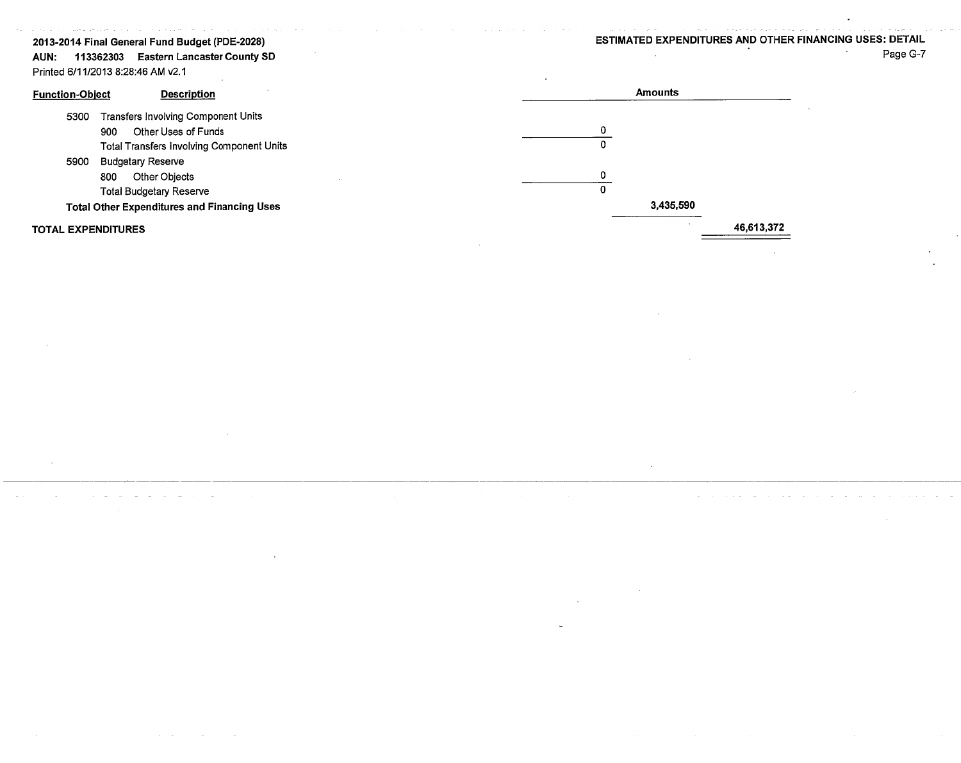2013-2014 Final General Fund Budget (PDE-2028) AUN: 113362303 Eastern Lancaster County SD Printed 6/11/2013 8:28:46 AM v2.1

Page G-7

Function-Object Description 5300 Transfers Involving Component Units 900 Other Uses of Funds Total Transfers Involving Component Units 5900 Budgetary Reserve 800 Other Objects Total Budgetary Reserve Total Other Expenditures and Financing Uses TOTAL EXPENDITURES Amounts 0  $\overline{\mathfrak{o}}$ 0  $\overline{0}$ 3,435,590 46,613,372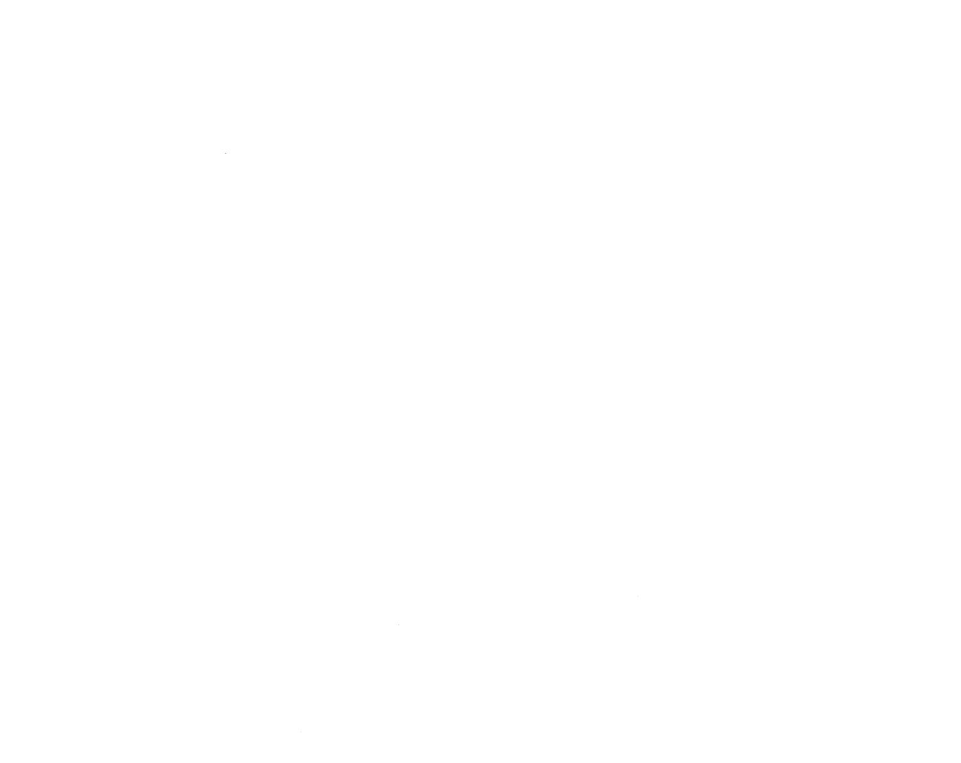$\label{eq:2.1} \frac{1}{\sqrt{2}}\int_{\mathbb{R}^3}\frac{1}{\sqrt{2}}\left(\frac{1}{\sqrt{2}}\right)^2\frac{1}{\sqrt{2}}\left(\frac{1}{\sqrt{2}}\right)^2\frac{1}{\sqrt{2}}\left(\frac{1}{\sqrt{2}}\right)^2\frac{1}{\sqrt{2}}\left(\frac{1}{\sqrt{2}}\right)^2\frac{1}{\sqrt{2}}\left(\frac{1}{\sqrt{2}}\right)^2\frac{1}{\sqrt{2}}\frac{1}{\sqrt{2}}\frac{1}{\sqrt{2}}\frac{1}{\sqrt{2}}\frac{1}{\sqrt{2}}\frac{1}{\sqrt{2}}$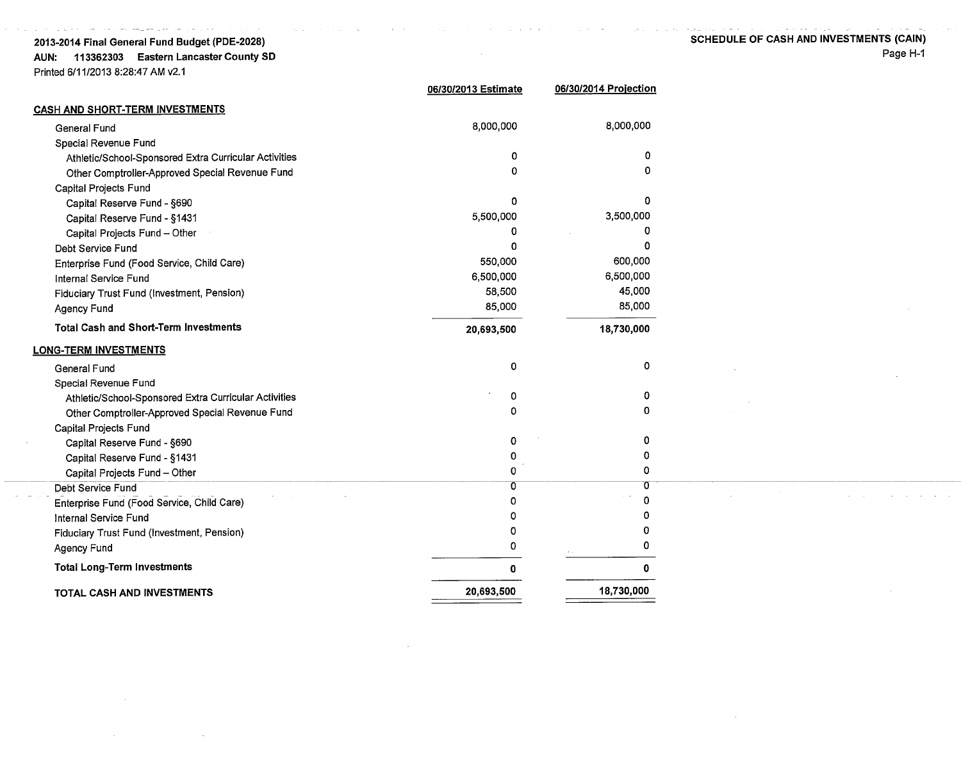**AUN: 113362303 Eastern Lancaster County SD** 

Printed 6/11/2013 8:28:47 AM v2.1

|                                                       | 06/30/2013 Estimate | 06/30/2014 Projection |  |
|-------------------------------------------------------|---------------------|-----------------------|--|
| CASH AND SHORT-TERM INVESTMENTS                       |                     |                       |  |
| General Fund                                          | 8,000,000           | 8,000,000             |  |
| Special Revenue Fund                                  |                     |                       |  |
| Athletic/School-Sponsored Extra Curricular Activities | 0                   | 0                     |  |
| Other Comptroller-Approved Special Revenue Fund       | 0                   | $\Omega$              |  |
| Capital Projects Fund                                 |                     |                       |  |
| Capital Reserve Fund - §690                           | Ω                   | n                     |  |
| Capital Reserve Fund - §1431                          | 5,500,000           | 3,500,000             |  |
| Capital Projects Fund - Other                         | O                   |                       |  |
| Debt Service Fund                                     |                     |                       |  |
| Enterprise Fund (Food Service, Child Care)            | 550,000             | 600,000               |  |
| Internal Service Fund                                 | 6,500,000           | 6,500,000             |  |
| Fiduciary Trust Fund (Investment, Pension)            | 58,500              | 45,000                |  |
| Agency Fund                                           | 85,000              | 85,000                |  |
| <b>Total Cash and Short-Term Investments</b>          | 20,693,500          | 18,730,000            |  |
| <b>LONG-TERM INVESTMENTS</b>                          |                     |                       |  |
| General Fund                                          | 0                   | 0                     |  |
| Special Revenue Fund                                  |                     |                       |  |
| Athletic/School-Sponsored Extra Curricular Activities | 0                   | 0                     |  |
| Other Comptroller-Approved Special Revenue Fund       | Ω                   | 0                     |  |
| Capital Projects Fund                                 |                     |                       |  |
| Capital Reserve Fund - §690                           | Ω                   | Ω                     |  |
| Capital Reserve Fund - §1431                          | 0                   | 0                     |  |
| Capital Projects Fund - Other                         | Ω                   | Ω                     |  |
| Debt Service Fund                                     | o                   | ์ซ                    |  |
| Enterprise Fund (Food Service, Child Care)            | n                   | $\Omega$              |  |
| Internal Service Fund                                 |                     | n                     |  |
| Fiduciary Trust Fund (Investment, Pension)            |                     |                       |  |
| <b>Agency Fund</b>                                    |                     | Ω                     |  |
| <b>Total Long-Term Investments</b>                    | n                   | o                     |  |
| TOTAL CASH AND INVESTMENTS                            | 20,693,500          | 18,730,000            |  |

**SCHEDULE OF CASH AND INVESTMENTS (CAIN)**  Page H-1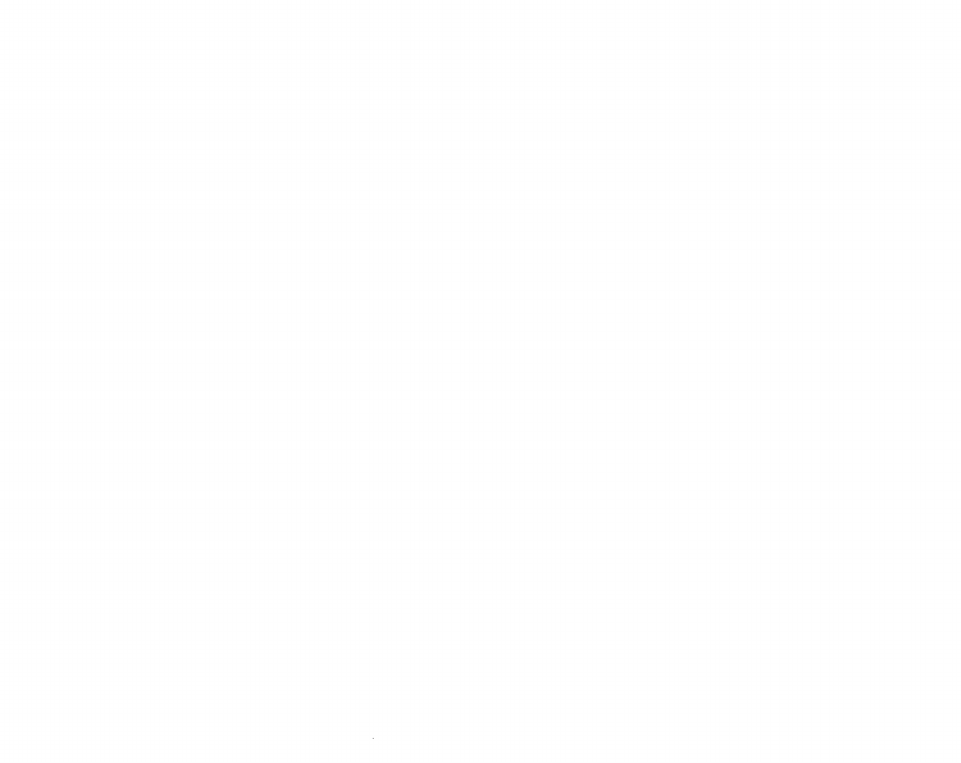$\label{eq:2.1} \mathcal{L}(\mathcal{L}^{\mathcal{L}}_{\mathcal{L}}(\mathcal{L}^{\mathcal{L}}_{\mathcal{L}})) = \mathcal{L}(\mathcal{L}^{\mathcal{L}}_{\mathcal{L}}(\mathcal{L}^{\mathcal{L}}_{\mathcal{L}})) = \mathcal{L}(\mathcal{L}^{\mathcal{L}}_{\mathcal{L}}(\mathcal{L}^{\mathcal{L}}_{\mathcal{L}}))$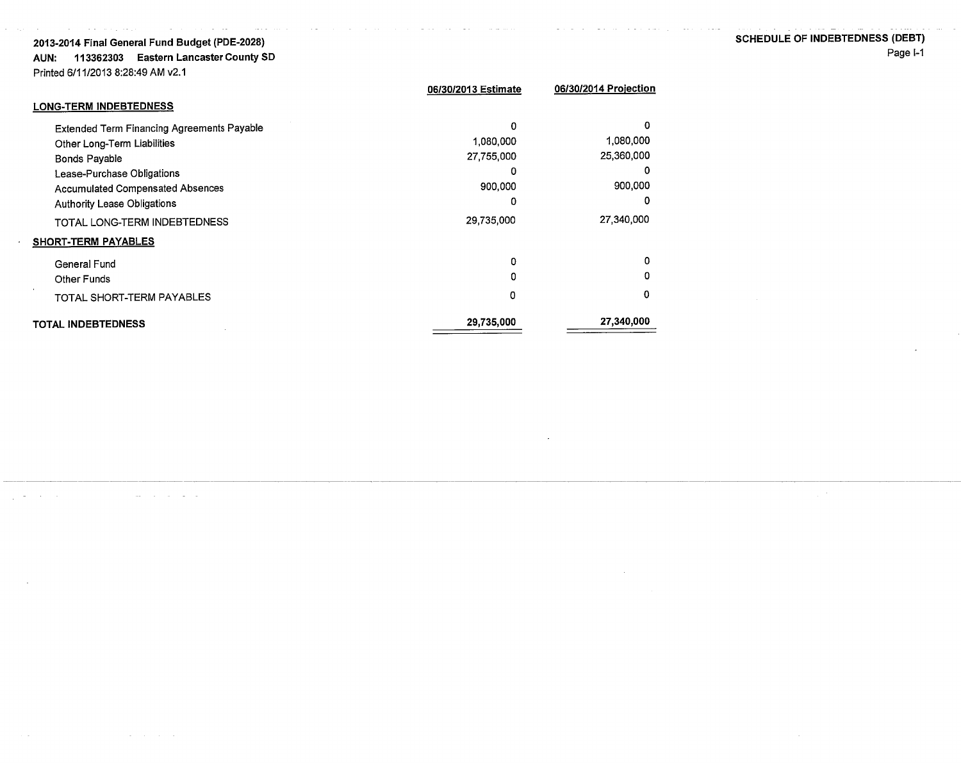AUN: 113362303 Eastern Lancaster County SD

Printed 6/11/2013 8:28:49 AM v2.1

LONG-TERM INDEBTEDNESS

| <b>Extended Term Financing Agreements Payable</b> | Ω          | Ω          |
|---------------------------------------------------|------------|------------|
| Other Long-Term Liabilities                       | 1.080.000  | 1,080,000  |
| <b>Bonds Payable</b>                              | 27.755,000 | 25,360,000 |
| Lease-Purchase Obligations                        | 0          | 0          |
| <b>Accumulated Compensated Absences</b>           | 900,000    | 900,000    |
| <b>Authority Lease Obligations</b>                | 0          |            |
| TOTAL LONG-TERM INDEBTEDNESS                      | 29,735,000 | 27,340,000 |
| <b>SHORT-TERM PAYABLES</b>                        |            |            |
| General Fund                                      | 0          |            |
| <b>Other Funds</b>                                | 0          |            |
| TOTAL SHORT-TERM PAYABLES                         | 0          | 0          |
| <b>TOTAL INDEBTEDNESS</b>                         | 29,735,000 | 27,340,000 |

SCHEDULE OF INDEBTEDNESS (DEBT) Page 1-1